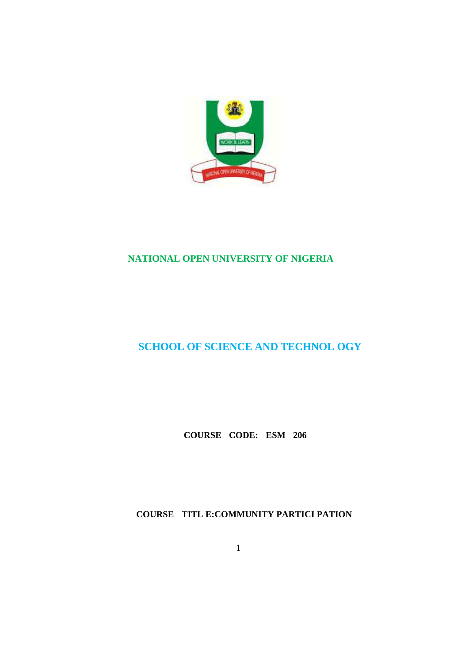

## **NATIONAL OPEN UNIVERSITY OF NIGERIA**

# **SCHOOL OF SCIENCE AND TECHNOL OGY**

**COURSE CODE: ESM 206** 

**COURSE TITL E:COMMUNITY PARTICI PATION** 

1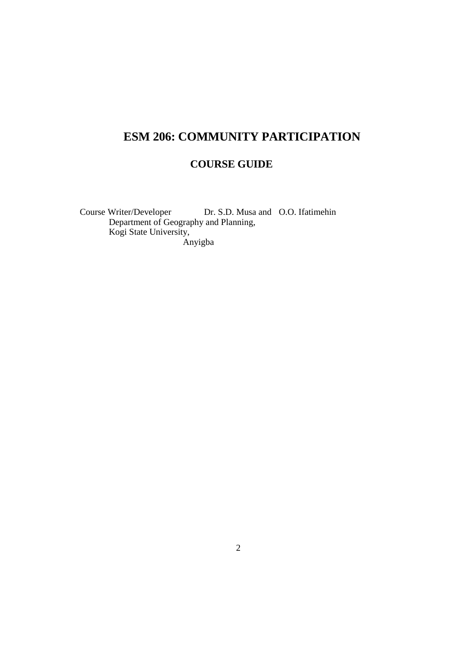# **ESM 206: COMMUNITY PARTICIPATION**

# **COURSE GUIDE**

Course Writer/Developer Dr. S.D. Musa and O.O. Ifatimehin Department of Geography and Planning, Kogi State University, Anyigba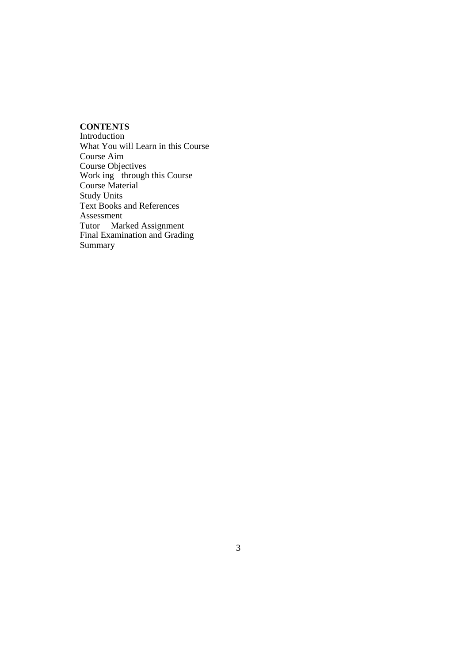## **CONTENTS**

Introduction What You will Learn in this Course Course Aim Course Objectives Work ing through this Course Course Material Study Units Text Books and References Assessment Tutor Marked Assignment Final Examination and Grading Summary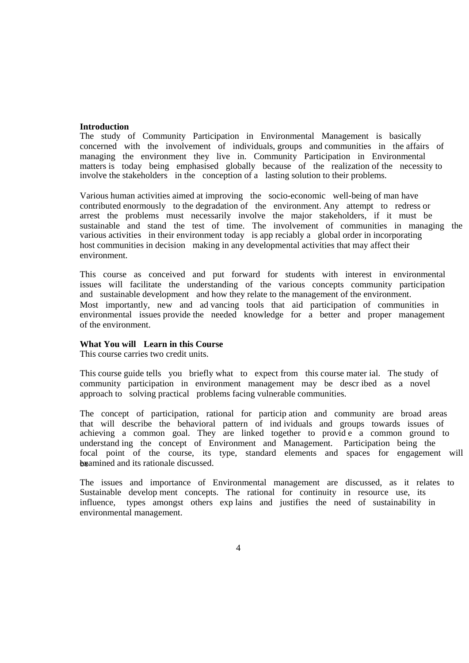#### **Introduction**

The study of Community Participation in Environmental Management is basically concerned with the involvement of individuals, groups and communities in the affairs of managing the environment they live in. Community Participation in Environmental matters is today being emphasised globally because of the realization of the necessity to involve the stakeholders in the conception of a lasting solution to their problems.

Various human activities aimed at improving the socio-economic well-being of man have contributed enormously to the degradation of the environment. Any attempt to redress or arrest the problems must necessarily involve the major stakeholders, if it must be sustainable and stand the test of time. The involvement of communities in managing the various activities in their environment today is app reciably a global order in incorporating host communities in decision making in any developmental activities that may affect their environment.

This course as conceived and put forward for students with interest in environmental issues will facilitate the understanding of the various concepts community participation and sustainable development and how they relate to the management of the environment. Most importantly, new and ad vancing tools that aid participation of communities in environmental issues provide the needed knowledge for a better and proper management of the environment.

## **What You will Learn in this Course**

This course carries two credit units.

This course guide tells you briefly what to expect from this course mater ial. The study of community participation in environment management may be descr ibed as a novel approach to solving practical problems facing vulnerable communities.

The concept of participation, rational for particip ation and community are broad areas that will describe the behavioral pattern of ind ividuals and groups towards issues of achieving a common goal. They are linked together to provid e a common ground to understand ing the concept of Environment and Management. Participation being the focal point of the course, its type, standard elements and spaces for engagement will be amined and its rationale discussed.

The issues and importance of Environmental management are discussed, as it relates to Sustainable develop ment concepts. The rational for continuity in resource use, its influence, types amongst others exp lains and justifies the need of sustainability in environmental management.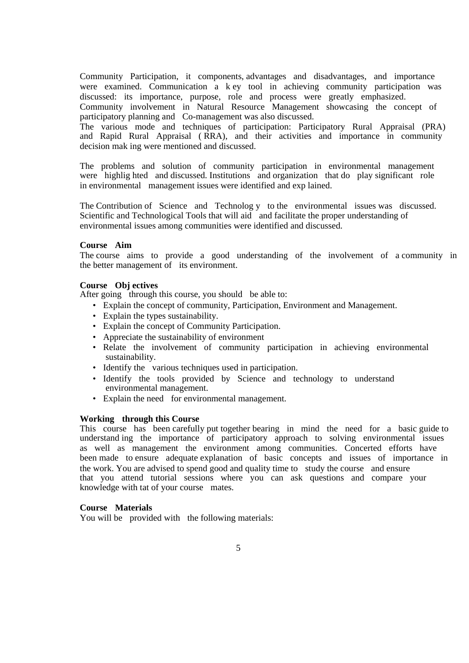Community Participation, it components, advantages and disadvantages, and importance were examined. Communication a k ey tool in achieving community participation was discussed: its importance, purpose, role and process were greatly emphasized. Community involvement in Natural Resource Management showcasing the concept of participatory planning and Co-management was also discussed.

The various mode and techniques of participation: Participatory Rural Appraisal (PRA) and Rapid Rural Appraisal ( RRA), and their activities and importance in community decision mak ing were mentioned and discussed.

The problems and solution of community participation in environmental management were highlig hted and discussed. Institutions and organization that do play significant role in environmental management issues were identified and exp lained.

The Contribution of Science and Technolog y to the environmental issues was discussed. Scientific and Technological Tools that will aid and facilitate the proper understanding of environmental issues among communities were identified and discussed.

### **Course Aim**

The course aims to provide a good understanding of the involvement of a community in the better management of its environment.

### **Course Obj ectives**

After going through this course, you should be able to:

- Explain the concept of community, Participation, Environment and Management.
- Explain the types sustainability.
- Explain the concept of Community Participation.
- Appreciate the sustainability of environment
- Relate the involvement of community participation in achieving environmental sustainability.
- Identify the various techniques used in participation.
- Identify the tools provided by Science and technology to understand environmental management.
- Explain the need for environmental management.

#### **Working through this Course**

This course has been carefully put together bearing in mind the need for a basic guide to understand ing the importance of participatory approach to solving environmental issues as well as management the environment among communities. Concerted efforts have been made to ensure adequate explanation of basic concepts and issues of importance in the work. You are advised to spend good and quality time to study the course and ensure that you attend tutorial sessions where you can ask questions and compare your knowledge with tat of your course mates.

#### **Course Materials**

You will be provided with the following materials: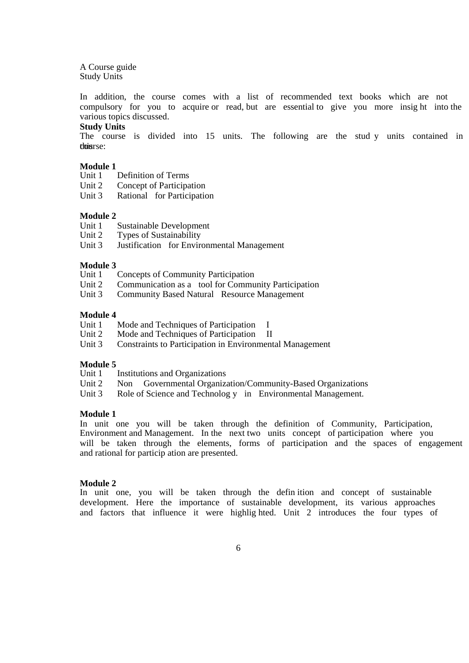A Course guide Study Units

In addition, the course comes with a list of recommended text books which are not compulsory for you to acquire or read, but are essential to give you more insig ht into the various topics discussed.

#### **Study Units**

The course is divided into 15 units. The following are the stud y units contained in thois rse:

## **Module 1**

Unit 1 Definition of Terms

- Unit 2 Concept of Participation
- Unit 3 Rational for Participation

#### **Module 2**

- Unit 1 Sustainable Development
- Unit 2 Types of Sustainability
- Unit 3 Justification for Environmental Management

# **Module 3**

- Concepts of Community Participation
- Unit 2 Communication as a tool for Community Participation
- Unit 3 Community Based Natural Resource Management

#### **Module 4**

- Unit 1 Mode and Techniques of Participation I<br>Unit 2 Mode and Techniques of Participation II
- Mode and Techniques of Participation II
- Unit 3 Constraints to Participation in Environmental Management

# **Module 5**

**Institutions and Organizations** 

- Unit 2 Non Governmental Organization/Community-Based Organizations
- Unit 3 Role of Science and Technolog y in Environmental Management.

#### **Module 1**

In unit one you will be taken through the definition of Community, Participation, Environment and Management. In the next two units concept of participation where you will be taken through the elements, forms of participation and the spaces of engagement and rational for particip ation are presented.

#### **Module 2**

In unit one, you will be taken through the defin ition and concept of sustainable development. Here the importance of sustainable development, its various approaches and factors that influence it were highlig hted. Unit 2 introduces the four types of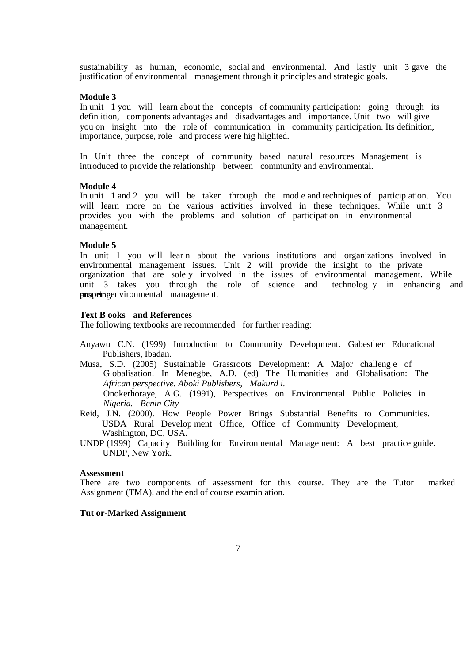sustainability as human, economic, social and environmental. And lastly unit 3 gave the justification of environmental management through it principles and strategic goals.

#### **Module 3**

In unit 1 you will learn about the concepts of community participation: going through its defin ition, components advantages and disadvantages and importance. Unit two will give you on insight into the role of communication in community participation. Its definition, importance, purpose, role and process were hig hlighted.

In Unit three the concept of community based natural resources Management is introduced to provide the relationship between community and environmental.

#### **Module 4**

In unit 1 and 2 you will be taken through the mod e and techniques of particip ation. You will learn more on the various activities involved in these techniques. While unit 3 provides you with the problems and solution of participation in environmental management.

#### **Module 5**

In unit 1 you will lear n about the various institutions and organizations involved in environmental management issues. Unit 2 will provide the insight to the private organization that are solely involved in the issues of environmental management. While unit 3 takes you through the role of science and technolog y in enhancing and **ensuring environmental** management.

#### **Text B ooks and References**

The following textbooks are recommended for further reading:

- Anyawu C.N. (1999) Introduction to Community Development. Gabesther Educational Publishers, Ibadan.
- Musa, S.D. (2005) Sustainable Grassroots Development: A Major challeng e of Globalisation. In Menegbe, A.D. (ed) The Humanities and Globalisation: The *African perspective. Aboki Publishers, Makurd i.*  Onokerhoraye, A.G. (1991), Perspectives on Environmental Public Policies in *Nigeria. Benin City*
- Reid, J.N. (2000). How People Power Brings Substantial Benefits to Communities. USDA Rural Develop ment Office, Office of Community Development, Washington, DC, USA.
- UNDP (1999) Capacity Building for Environmental Management: A best practice guide. UNDP, New York.

## **Assessment**

There are two components of assessment for this course. They are the Tutor marked Assignment (TMA), and the end of course examin ation.

#### **Tut or-Marked Assignment**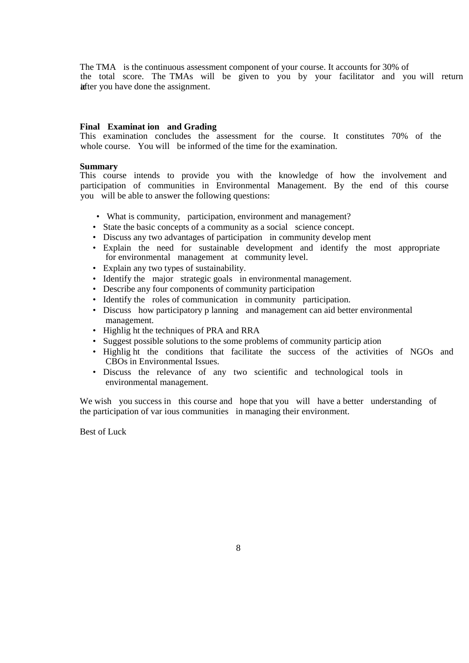The TMA is the continuous assessment component of your course. It accounts for 30% of the total score. The TMAs will be given to you by your facilitator and you will return ifter you have done the assignment.

## **Final Examinat ion and Grading**

This examination concludes the assessment for the course. It constitutes 70% of the whole course. You will be informed of the time for the examination.

#### **Summary**

This course intends to provide you with the knowledge of how the involvement and participation of communities in Environmental Management. By the end of this course you will be able to answer the following questions:

- What is community, participation, environment and management?
- State the basic concepts of a community as a social science concept.
- Discuss any two advantages of participation in community develop ment
- Explain the need for sustainable development and identify the most appropriate for environmental management at community level.
- Explain any two types of sustainability.
- Identify the major strategic goals in environmental management.
- Describe any four components of community participation
- Identify the roles of communication in community participation.
- Discuss how participatory p lanning and management can aid better environmental management.
- Highlig ht the techniques of PRA and RRA
- Suggest possible solutions to the some problems of community particip ation
- Highlig ht the conditions that facilitate the success of the activities of NGOs and CBOs in Environmental Issues.
- Discuss the relevance of any two scientific and technological tools in environmental management.

We wish you success in this course and hope that you will have a better understanding of the participation of var ious communities in managing their environment.

Best of Luck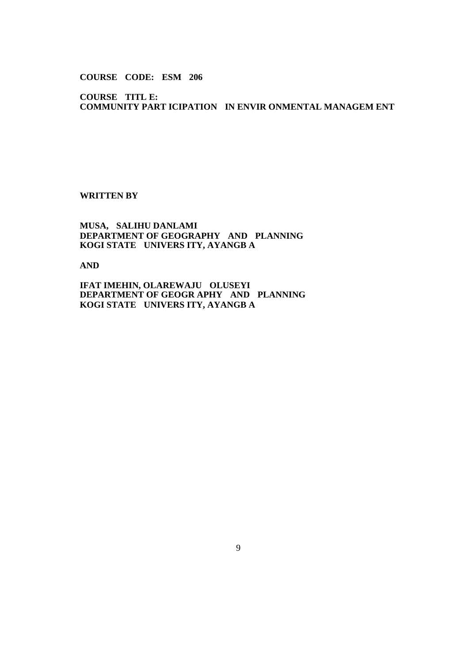## **COURSE CODE: ESM 206**

**COURSE TITL E: COMMUNITY PART ICIPATION IN ENVIR ONMENTAL MANAGEM ENT** 

## **WRITTEN BY**

## **MUSA, SALIHU DANLAMI DEPARTMENT OF GEOGRAPHY AND PLANNING KOGI STATE UNIVERS ITY, AYANGB A**

**AND** 

**IFAT IMEHIN, OLAREWAJU OLUSEYI DEPARTMENT OF GEOGR APHY AND PLANNING KOGI STATE UNIVERS ITY, AYANGB A**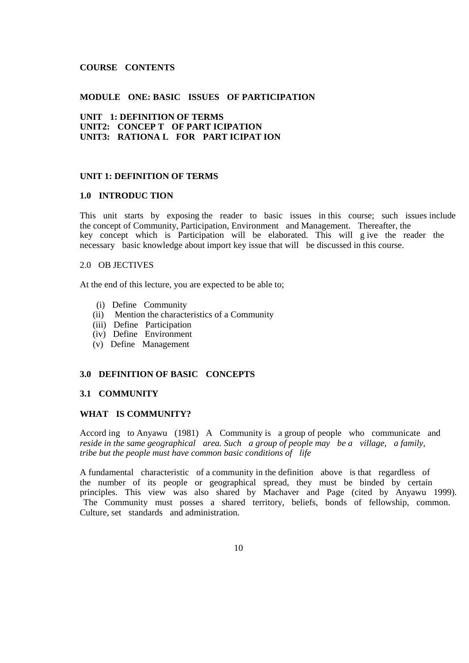## **COURSE CONTENTS**

## **MODULE ONE: BASIC ISSUES OF PARTICIPATION**

## **UNIT 1: DEFINITION OF TERMS UNIT2: CONCEP T OF PART ICIPATION UNIT3: RATIONA L FOR PART ICIPAT ION**

#### **UNIT 1: DEFINITION OF TERMS**

## **1.0 INTRODUC TION**

This unit starts by exposing the reader to basic issues in this course; such issues include the concept of Community, Participation, Environment and Management. Thereafter, the key concept which is Participation will be elaborated. This will g ive the reader the necessary basic knowledge about import key issue that will be discussed in this course.

## 2.0 OB JECTIVES

At the end of this lecture, you are expected to be able to;

- (i) Define Community
- (ii) Mention the characteristics of a Community
- (iii) Define Participation
- (iv) Define Environment
- (v) Define Management

#### **3.0 DEFINITION OF BASIC CONCEPTS**

#### **3.1 COMMUNITY**

#### **WHAT IS COMMUNITY?**

Accord ing to Anyawu (1981) A Community is a group of people who communicate and *reside in the same geographical area. Such a group of people may be a village, a family, tribe but the people must have common basic conditions of life* 

A fundamental characteristic of a community in the definition above is that regardless of the number of its people or geographical spread, they must be binded by certain principles. This view was also shared by Machaver and Page (cited by Anyawu 1999). The Community must posses a shared territory, beliefs, bonds of fellowship, common. Culture, set standards and administration.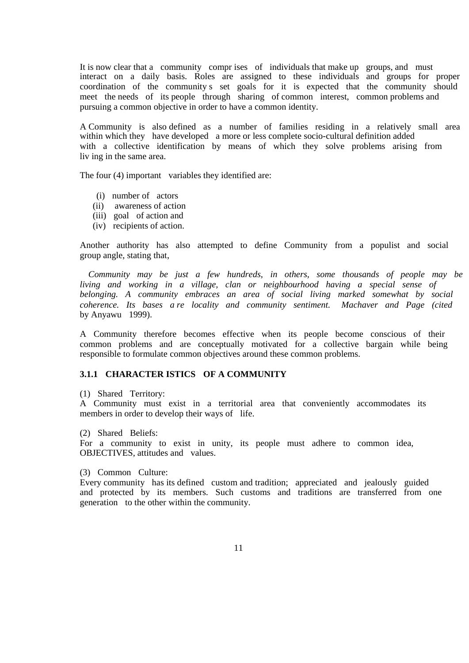It is now clear that a community compr ises of individuals that make up groups, and must interact on a daily basis. Roles are assigned to these individuals and groups for proper coordination of the community s set goals for it is expected that the community should meet the needs of its people through sharing of common interest, common problems and pursuing a common objective in order to have a common identity.

A Community is also defined as a number of families residing in a relatively small area within which they have developed a more or less complete socio-cultural definition added with a collective identification by means of which they solve problems arising from liv ing in the same area.

The four (4) important variables they identified are:

- (i) number of actors
- (ii) awareness of action
- (iii) goal of action and
- (iv) recipients of action.

Another authority has also attempted to define Community from a populist and social group angle, stating that,

 *Community may be just a few hundreds, in others, some thousands of people may be living and working in a village, clan or neighbourhood having a special sense of belonging. A community embraces an area of social living marked somewhat by social coherence. Its bases a re locality and community sentiment. Machaver and Page (cited*  by Anyawu 1999).

A Community therefore becomes effective when its people become conscious of their common problems and are conceptually motivated for a collective bargain while being responsible to formulate common objectives around these common problems.

## **3.1.1 CHARACTER ISTICS OF A COMMUNITY**

(1) Shared Territory:

A Community must exist in a territorial area that conveniently accommodates its members in order to develop their ways of life.

(2) Shared Beliefs:

For a community to exist in unity, its people must adhere to common idea, OBJECTIVES, attitudes and values.

(3) Common Culture:

Every community has its defined custom and tradition; appreciated and jealously guided and protected by its members. Such customs and traditions are transferred from one generation to the other within the community.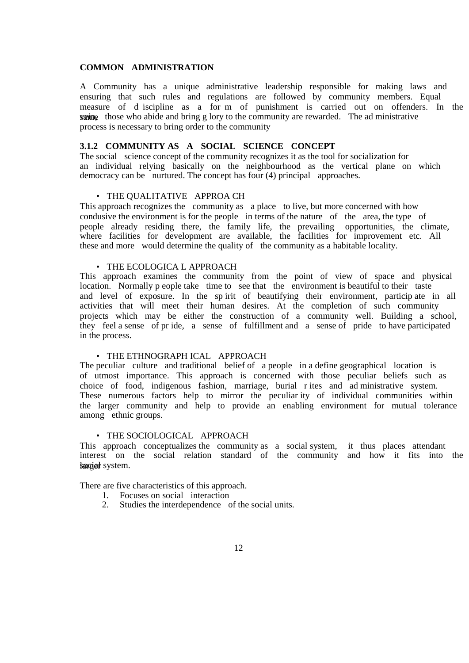#### **COMMON ADMINISTRATION**

A Community has a unique administrative leadership responsible for making laws and ensuring that such rules and regulations are followed by community members. Equal measure of d iscipline as a for m of punishment is carried out on offenders. In the **straine** those who abide and bring g lory to the community are rewarded. The ad ministrative process is necessary to bring order to the community

## **3.1.2 COMMUNITY AS A SOCIAL SCIENCE CONCEPT**

The social science concept of the community recognizes it as the tool for socialization for an individual relying basically on the neighbourhood as the vertical plane on which democracy can be nurtured. The concept has four (4) principal approaches.

#### • THE QUALITATIVE APPROA CH

This approach recognizes the community as a place to live, but more concerned with how condusive the environment is for the people in terms of the nature of the area, the type of people already residing there, the family life, the prevailing opportunities, the climate, where facilities for development are available, the facilities for improvement etc. All these and more would determine the quality of the community as a habitable locality.

#### • THE ECOLOGICA L APPROACH

This approach examines the community from the point of view of space and physical location. Normally p eople take time to see that the environment is beautiful to their taste and level of exposure. In the sp irit of beautifying their environment, particip ate in all activities that will meet their human desires. At the completion of such community projects which may be either the construction of a community well. Building a school, they feel a sense of pr ide, a sense of fulfillment and a sense of pride to have participated in the process.

#### • THE ETHNOGRAPH ICAL APPROACH

The peculiar culture and traditional belief of a people in a define geographical location is of utmost importance. This approach is concerned with those peculiar beliefs such as choice of food, indigenous fashion, marriage, burial r ites and ad ministrative system. These numerous factors help to mirror the peculiar ity of individual communities within the larger community and help to provide an enabling environment for mutual tolerance among ethnic groups.

## • THE SOCIOLOGICAL APPROACH

This approach conceptualizes the community as a social system, it thus places attendant interest on the social relation standard of the community and how it fits into the kociał system.

There are five characteristics of this approach.

- 1. Focuses on social interaction
- 2. Studies the interdependence of the social units.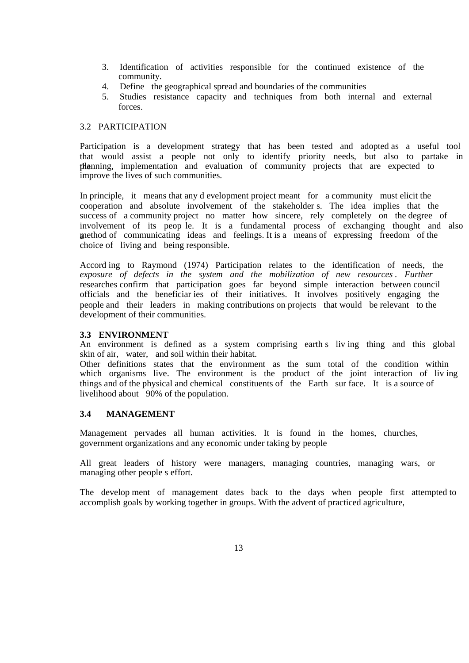- 3. Identification of activities responsible for the continued existence of the community.
- 4. Define the geographical spread and boundaries of the communities
- 5. Studies resistance capacity and techniques from both internal and external forces.

## 3.2 PARTICIPATION

Participation is a development strategy that has been tested and adopted as a useful tool that would assist a people not only to identify priority needs, but also to partake in the planning, implementation and evaluation of community projects that are expected to improve the lives of such communities.

In principle, it means that any d evelopment project meant for a community must elicit the cooperation and absolute involvement of the stakeholder s. The idea implies that the success of a community project no matter how sincere, rely completely on the degree of involvement of its peop le. It is a fundamental process of exchanging thought and also a method of communicating ideas and feelings. It is a means of expressing freedom of the choice of living and being responsible.

Accord ing to Raymond (1974) Participation relates to the identification of needs, the exposure of defects in the system and the mobilization of new resources. Further researches confirm that participation goes far beyond simple interaction between council officials and the beneficiar ies of their initiatives. It involves positively engaging the people and their leaders in making contributions on projects that would be relevant to the development of their communities.

## **3.3 ENVIRONMENT**

An environment is defined as a system comprising earth s liv ing thing and this global skin of air, water, and soil within their habitat.

Other definitions states that the environment as the sum total of the condition within which organisms live. The environment is the product of the joint interaction of living things and of the physical and chemical constituents of the Earth sur face. It is a source of livelihood about 90% of the population.

## **3.4 MANAGEMENT**

Management pervades all human activities. It is found in the homes, churches, government organizations and any economic under taking by people

All great leaders of history were managers, managing countries, managing wars, or managing other people s effort.

The develop ment of management dates back to the days when people first attempted to accomplish goals by working together in groups. With the advent of practiced agriculture,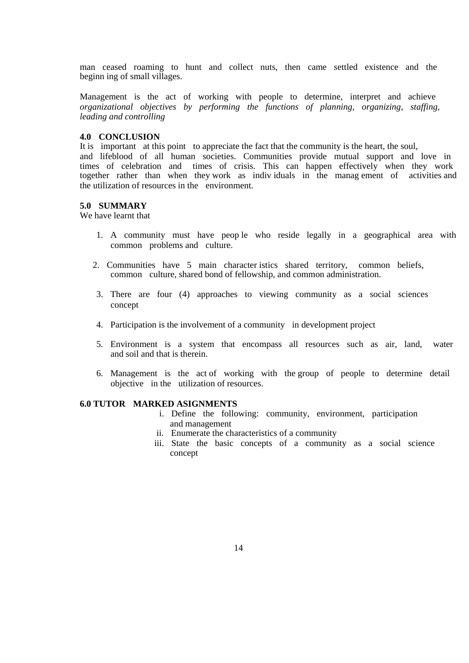man ceased roaming to hunt and collect nuts, then came settled existence and the beginn ing of small villages.

Management is the act of working with people to determine, interpret and achieve *organizational objectives by performing the functions of planning, organizing, staffing, leading and controlling* 

#### **4.0 CONCLUSION**

It is important at this point to appreciate the fact that the community is the heart, the soul, and lifeblood of all human societies. Communities provide mutual support and love in times of celebration and times of crisis. This can happen effectively when they work together rather than when they work as indiv iduals in the manag ement of activities and the utilization of resources in the environment.

#### **5.0 SUMMARY**

We have learnt that

- 1. A community must have peop le who reside legally in a geographical area with common problems and culture.
- 2. Communities have 5 main character istics shared territory, common beliefs, common culture, shared bond of fellowship, and common administration.
- 3. There are four (4) approaches to viewing community as a social sciences concept
- 4. Participation is the involvement of a community in development project
- 5. Environment is a system that encompass all resources such as air, land, water and soil and that is therein.
- 6. Management is the act of working with the group of people to determine detail objective in the utilization of resources.

#### **6.0 TUTOR MARKED ASIGNMENTS**

- i. Define the following: community, environment, participation and management
- ii. Enumerate the characteristics of a community
- iii. State the basic concepts of a community as a social science concept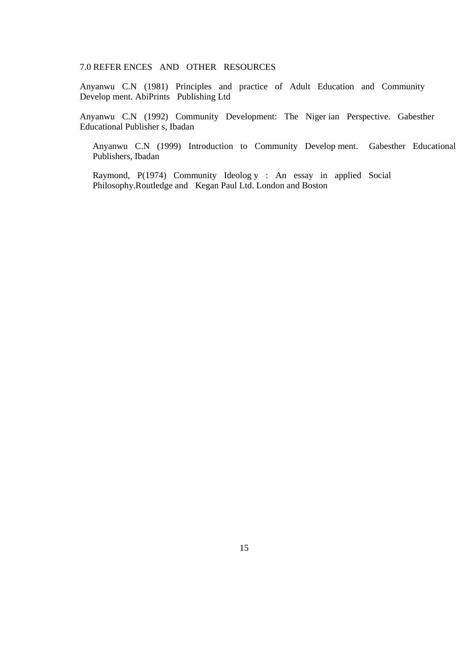## 7.0 REFER ENCES AND OTHER RESOURCES

Anyanwu C.N (1981) Principles and practice of Adult Education and Community Develop ment. AbiPrints Publishing Ltd

Anyanwu C.N (1992) Community Development: The Niger ian Perspective. Gabesther Educational Publisher s, Ibadan

Anyanwu C.N (1999) Introduction to Community Develop ment. Gabesther Educational Publishers, Ibadan

Raymond, P(1974) Community Ideolog y : An essay in applied Social Philosophy.Routledge and Kegan Paul Ltd. London and Boston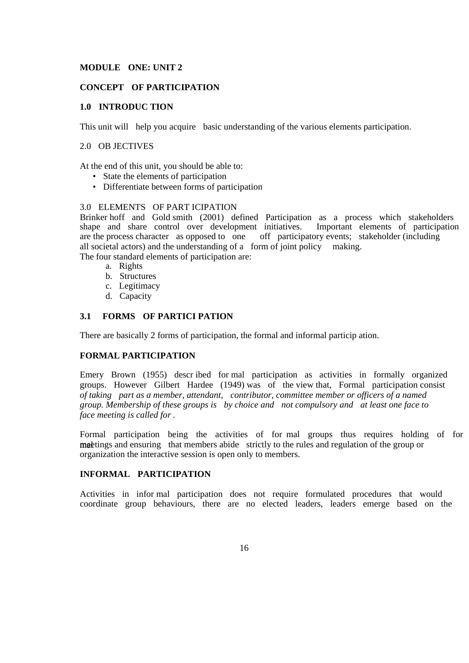## **MODULE ONE: UNIT 2**

## **CONCEPT OF PARTICIPATION**

## **1.0 INTRODUC TION**

This unit will help you acquire basic understanding of the various elements participation.

## 2.0 OB JECTIVES

At the end of this unit, you should be able to:

- State the elements of participation
- Differentiate between forms of participation

## 3.0 ELEMENTS OF PART ICIPATION

Brinker hoff and Gold smith (2001) defined Participation as a process which stakeholders shape and share control over development initiatives. Important elements of participation shape and share control over development initiatives. are the process character as opposed to one off participatory events; stakeholder (including all societal actors) and the understanding of a form of joint policy making.

The four standard elements of participation are:

- a. Rights
- b. Structures
- c. Legitimacy
- d. Capacity

## **3.1 FORMS OF PARTICI PATION**

There are basically 2 forms of participation, the formal and informal particip ation.

## **FORMAL PARTICIPATION**

Emery Brown (1955) descr ibed for mal participation as activities in formally organized groups. However Gilbert Hardee (1949) was of the view that, Formal participation consist *of taking part as a member, attendant, contributor, committee member or officers of a named group. Membership of these groups is by choice and not compulsory and at least one face to face meeting is called for .* 

Formal participation being the activities of for mal groups thus requires holding of for mate that members abide strictly to the rules and regulation of the group or organization the interactive session is open only to members.

## **INFORMAL PARTICIPATION**

Activities in infor mal participation does not require formulated procedures that would coordinate group behaviours, there are no elected leaders, leaders emerge based on the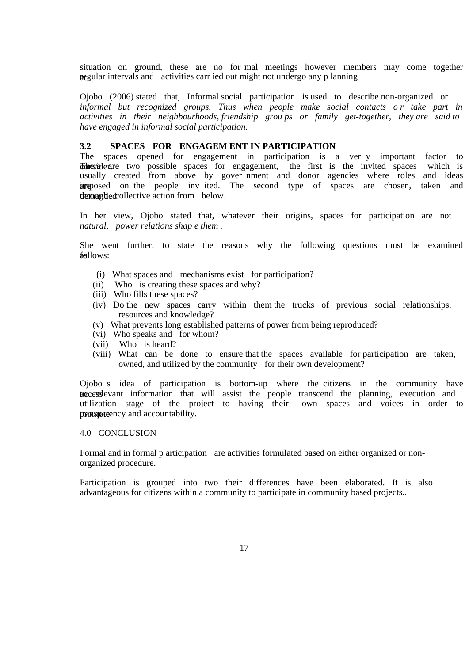situation on ground, these are no for mal meetings however members may come together at regular intervals and activities carr ied out might not undergo any p lanning

Ojobo (2006) stated that, Informal social participation is used to describe non-organized or informal but recognized groups. Thus when people make social contacts or take part in *activities in their neighbourhoods, friendship grou ps or family get-together, they are said to have engaged in informal social participation.* 

#### **3.2 SPACES FOR ENGAGEM ENT IN PARTICIPATION**

The spaces opened for engagement in participation is a ver y important factor to The state are two possible spaces for engagement, the first is the invited spaces which is usually created from above by gover nment and donor agencies where roles and ideas imposed on the people invited. The second type of spaces are chosen, taken and demanguled collective action from below.

In her view, Ojobo stated that, whatever their origins, spaces for participation are not *natural, power relations shap e them .* 

She went further, to state the reasons why the following questions must be examined follows:

- (i) What spaces and mechanisms exist for participation?
- (ii) Who is creating these spaces and why?
- (iii) Who fills these spaces?
- (iv) Do the new spaces carry within them the trucks of previous social relationships, resources and knowledge?
- (v) What prevents long established patterns of power from being reproduced?
- (vi) Who speaks and for whom?
- (vii) Who is heard?
- (viii) What can be done to ensure that the spaces available for participation are taken, owned, and utilized by the community for their own development?

Ojobo s idea of participation is bottom-up where the citizens in the community have to casslevant information that will assist the people transcend the planning, execution and utilization stage of the project to having their own spaces and voices in order to promote the transparency and accountability.

#### 4.0 CONCLUSION

Formal and in formal p articipation are activities formulated based on either organized or nonorganized procedure.

Participation is grouped into two their differences have been elaborated. It is also advantageous for citizens within a community to participate in community based projects..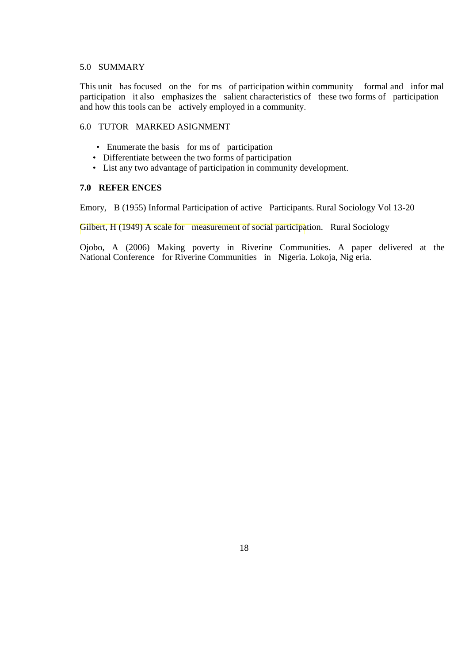#### 5.0 SUMMARY

This unit has focused on the for ms of participation within community formal and infor mal participation it also emphasizes the salient characteristics of these two forms of participation and how this tools can be actively employed in a community.

## 6.0 TUTOR MARKED ASIGNMENT

- Enumerate the basis for ms of participation
- Differentiate between the two forms of participation
- List any two advantage of participation in community development.

## **7.0 REFER ENCES**

Emory, B (1955) Informal Participation of active Participants. Rural Sociology Vol 13-20

Gilbert, H (1949) A scale for measurement of social participation. Rural Sociology

Ojobo, A (2006) Making poverty in Riverine Communities. A paper delivered at the National Conference for Riverine Communities in Nigeria. Lokoja, Nig eria.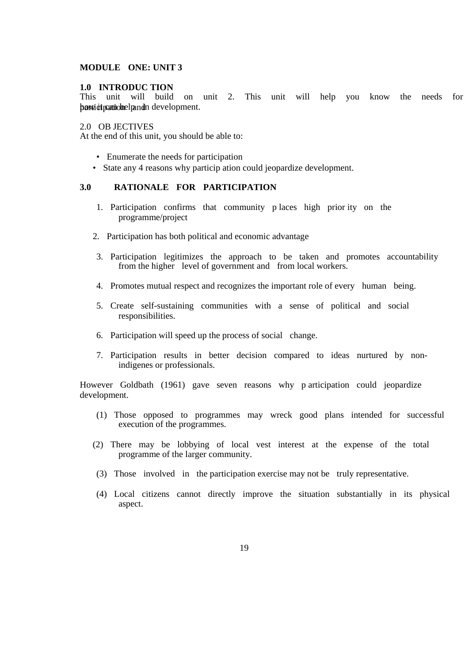## **MODULE ONE: UNIT 3**

## **1.0 INTRODUC TION**

This unit will build on unit 2. This unit will help you know the needs for participation development.

2.0 OB JECTIVES

At the end of this unit, you should be able to:

- Enumerate the needs for participation
- State any 4 reasons why particip ation could jeopardize development.

## **3.0 RATIONALE FOR PARTICIPATION**

- 1. Participation confirms that community p laces high prior ity on the programme/project
- 2. Participation has both political and economic advantage
- 3. Participation legitimizes the approach to be taken and promotes accountability from the higher level of government and from local workers.
- 4. Promotes mutual respect and recognizes the important role of every human being.
- 5. Create self-sustaining communities with a sense of political and social responsibilities.
- 6. Participation will speed up the process of social change.
- 7. Participation results in better decision compared to ideas nurtured by nonindigenes or professionals.

However Goldbath (1961) gave seven reasons why p articipation could jeopardize development.

- (1) Those opposed to programmes may wreck good plans intended for successful execution of the programmes.
- (2) There may be lobbying of local vest interest at the expense of the total programme of the larger community.
- (3) Those involved in the participation exercise may not be truly representative.
- (4) Local citizens cannot directly improve the situation substantially in its physical aspect.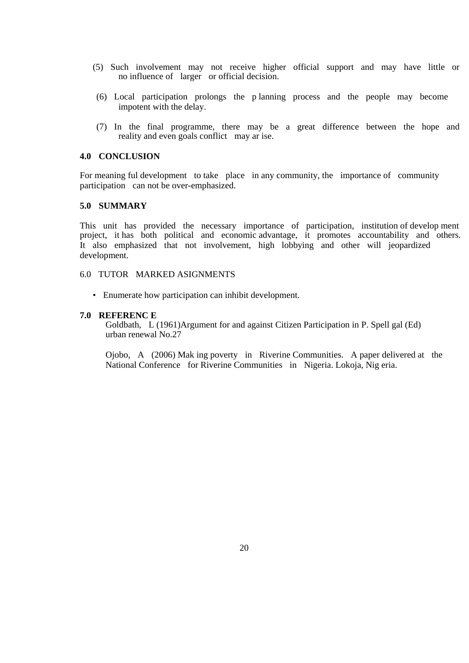- (5) Such involvement may not receive higher official support and may have little or no influence of larger or official decision.
- (6) Local participation prolongs the p lanning process and the people may become impotent with the delay.
- (7) In the final programme, there may be a great difference between the hope and reality and even goals conflict may ar ise.

## **4.0 CONCLUSION**

For meaning ful development to take place in any community, the importance of community participation can not be over-emphasized.

## **5.0 SUMMARY**

This unit has provided the necessary importance of participation, institution of develop ment project, it has both political and economic advantage, it promotes accountability and others. It also emphasized that not involvement, high lobbying and other will jeopardized development.

#### 6.0 TUTOR MARKED ASIGNMENTS

• Enumerate how participation can inhibit development.

#### **7.0 REFERENC E**

Goldbath, L (1961)Argument for and against Citizen Participation in P. Spell gal (Ed) urban renewal No.27

Ojobo, A (2006) Mak ing poverty in Riverine Communities. A paper delivered at the National Conference for Riverine Communities in Nigeria. Lokoja, Nig eria.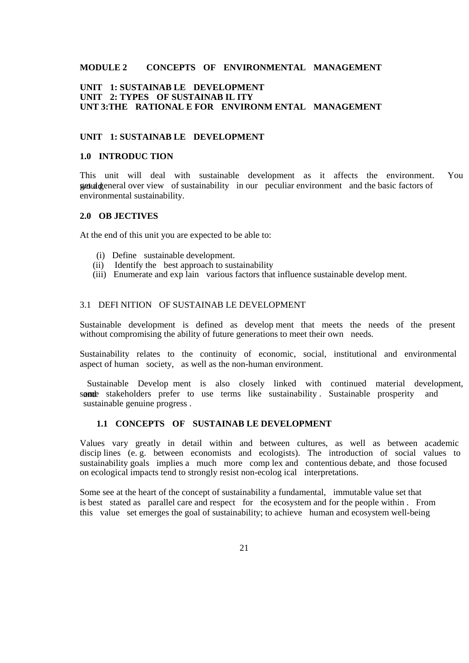## **MODULE 2 CONCEPTS OF ENVIRONMENTAL MANAGEMENT**

## **UNIT 1: SUSTAINAB LE DEVELOPMENT UNIT 2: TYPES OF SUSTAINAB IL ITY UNT 3:THE RATIONAL E FOR ENVIRONM ENTAL MANAGEMENT**

## **UNIT 1: SUSTAINAB LE DEVELOPMENT**

#### **1.0 INTRODUC TION**

This unit will deal with sustainable development as it affects the environment. You get uld general over view of sustainability in our peculiar environment and the basic factors of environmental sustainability.

## **2.0 OB JECTIVES**

At the end of this unit you are expected to be able to:

- (i) Define sustainable development.
- (ii) Identify the best approach to sustainability
- (iii) Enumerate and exp lain various factors that influence sustainable develop ment.

#### 3.1 DEFI NITION OF SUSTAINAB LE DEVELOPMENT

Sustainable development is defined as develop ment that meets the needs of the present without compromising the ability of future generations to meet their own needs.

Sustainability relates to the continuity of economic, social, institutional and environmental aspect of human society, as well as the non-human environment.

Sustainable Develop ment is also closely linked with continued material development, some stakeholders prefer to use terms like sustainability. Sustainable prosperity and sustainable genuine progress .

#### **1.1 CONCEPTS OF SUSTAINAB LE DEVELOPMENT**

Values vary greatly in detail within and between cultures, as well as between academic discip lines (e. g. between economists and ecologists). The introduction of social values to sustainability goals implies a much more comp lex and contentious debate, and those focused on ecological impacts tend to strongly resist non-ecolog ical interpretations.

Some see at the heart of the concept of sustainability a fundamental, immutable value set that is best stated as parallel care and respect for the ecosystem and for the people within . From this value set emerges the goal of sustainability; to achieve human and ecosystem well-being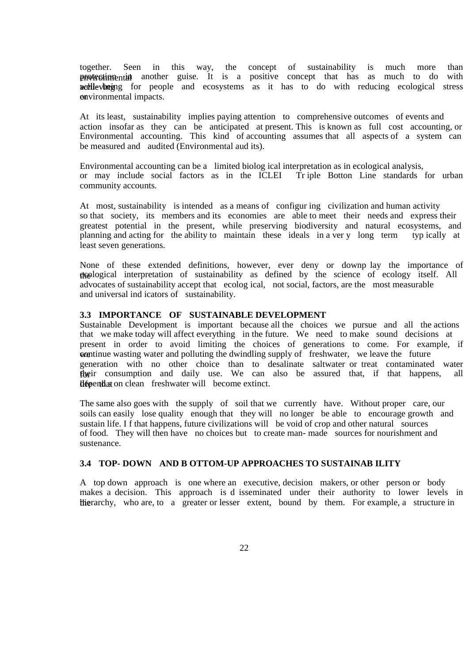together. Seen in this way, the concept of sustainability is much more than **environmental** another guise. It is a positive concept that has as much to do with wellevinging for people and ecosystems as it has to do with reducing ecological stress or environmental impacts.

At its least, sustainability implies paying attention to comprehensive outcomes of events and action insofar as they can be anticipated at present. This is known as full cost accounting, or Environmental accounting. This kind of accounting assumes that all aspects of a system can be measured and audited (Environmental aud its).

Environmental accounting can be a limited biolog ical interpretation as in ecological analysis, or may include social factors as in the ICLEI Tr iple Botton Line standards for urban community accounts.

At most, sustainability is intended as a means of configur ing civilization and human activity so that society, its members and its economies are able to meet their needs and express their greatest potential in the present, while preserving biodiversity and natural ecosystems, and planning and acting for the ability to maintain these ideals in a ver y long term typ ically at least seven generations.

None of these extended definitions, however, ever deny or downp lay the importance of the ecological interpretation of sustainability as defined by the science of ecology itself. All advocates of sustainability accept that ecolog ical, not social, factors, are the most measurable and universal ind icators of sustainability.

#### **3.3 IMPORTANCE OF SUSTAINABLE DEVELOPMENT**

Sustainable Development is important because all the choices we pursue and all the actions that we make today will affect everything in the future. We need to make sound decisions at present in order to avoid limiting the choices of generations to come. For example, if we continue wasting water and polluting the dwindling supply of freshwater, we leave the future generation with no other choice than to desalinate saltwater or treat contaminated water flore their consumption and daily use. We can also be assured that, if that happens, all llepend at on clean freshwater will become extinct.

The same also goes with the supply of soil that we currently have. Without proper care, our soils can easily lose quality enough that they will no longer be able to encourage growth and sustain life. I f that happens, future civilizations will be void of crop and other natural sources of food. They will then have no choices but to create man- made sources for nourishment and sustenance.

## **3.4 TOP- DOWN AND B OTTOM-UP APPROACHES TO SUSTAINAB ILITY**

A top down approach is one where an executive, decision makers, or other person or body makes a decision. This approach is d isseminated under their authority to lower levels in the the hair who are, to a greater or lesser extent, bound by them. For example, a structure in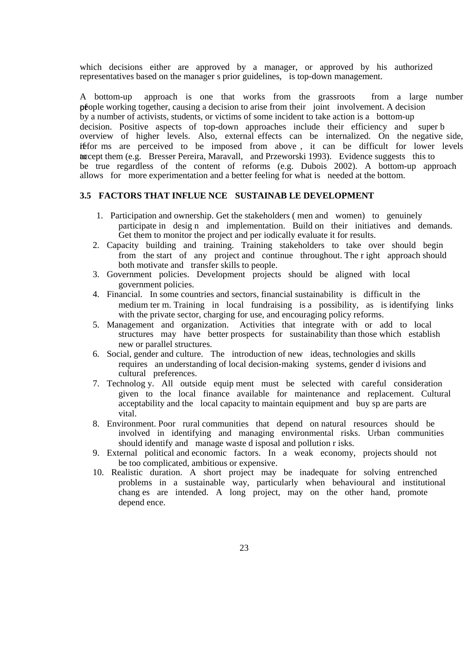which decisions either are approved by a manager, or approved by his authorized representatives based on the manager s prior guidelines, is top-down management.

A bottom-up approach is one that works from the grassroots from a large number people working together, causing a decision to arise from their joint involvement. A decision by a number of activists, students, or victims of some incident to take action is a bottom-up decision. Positive aspects of top-down approaches include their efficiency and super b overview of higher levels. Also, external effects can be internalized. On the negative side, if for ms are perceived to be imposed from above, it can be difficult for lower levels to accept them (e.g. Bresser Pereira, Maravall, and Przeworski 1993). Evidence suggests this to be true regardless of the content of reforms (e.g. Dubois 2002). A bottom-up approach allows for more experimentation and a better feeling for what is needed at the bottom.

## **3.5 FACTORS THAT INFLUE NCE SUSTAINAB LE DEVELOPMENT**

- 1. Participation and ownership. Get the stakeholders ( men and women) to genuinely participate in desig n and implementation. Build on their initiatives and demands. Get them to monitor the project and per iodically evaluate it for results.
- 2. Capacity building and training. Training stakeholders to take over should begin from the start of any project and continue throughout. The r ight approach should both motivate and transfer skills to people.
- 3. Government policies. Development projects should be aligned with local government policies.
- 4. Financial. In some countries and sectors, financial sustainability is difficult in the medium ter m. Training in local fundraising is a possibility, as is identifying links with the private sector, charging for use, and encouraging policy reforms.
- 5. Management and organization. Activities that integrate with or add to local structures may have better prospects for sustainability than those which establish new or parallel structures.
- 6. Social, gender and culture. The introduction of new ideas, technologies and skills requires an understanding of local decision-making systems, gender d ivisions and cultural preferences.
- 7. Technolog y. All outside equip ment must be selected with careful consideration given to the local finance available for maintenance and replacement. Cultural acceptability and the local capacity to maintain equipment and buy sp are parts are vital.
- 8. Environment. Poor rural communities that depend on natural resources should be involved in identifying and managing environmental risks. Urban communities should identify and manage waste d isposal and pollution r isks.
- 9. External political and economic factors. In a weak economy, projects should not be too complicated, ambitious or expensive.
- 10. Realistic duration. A short project may be inadequate for solving entrenched problems in a sustainable way, particularly when behavioural and institutional chang es are intended. A long project, may on the other hand, promote depend ence.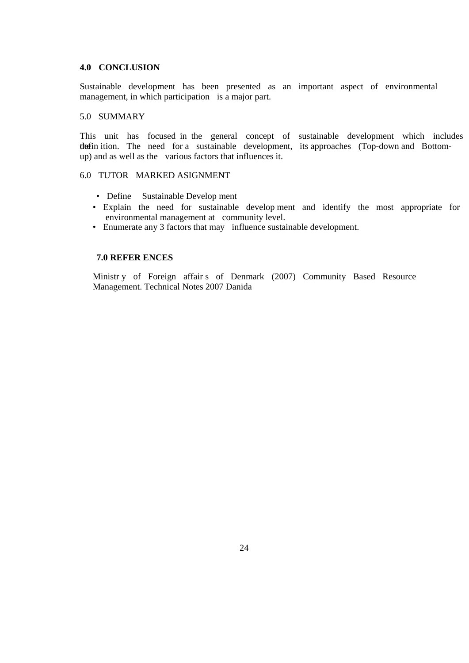## **4.0 CONCLUSION**

Sustainable development has been presented as an important aspect of environmental management, in which participation is a major part.

## 5.0 SUMMARY

This unit has focused in the general concept of sustainable development which includes the definition. The need for a sustainable development, its approaches (Top-down and Bottomup) and as well as the various factors that influences it.

#### 6.0 TUTOR MARKED ASIGNMENT

- Define Sustainable Develop ment
- Explain the need for sustainable develop ment and identify the most appropriate for environmental management at community level.
- Enumerate any 3 factors that may influence sustainable development.

#### **7.0 REFER ENCES**

Ministr y of Foreign affair s of Denmark (2007) Community Based Resource Management. Technical Notes 2007 Danida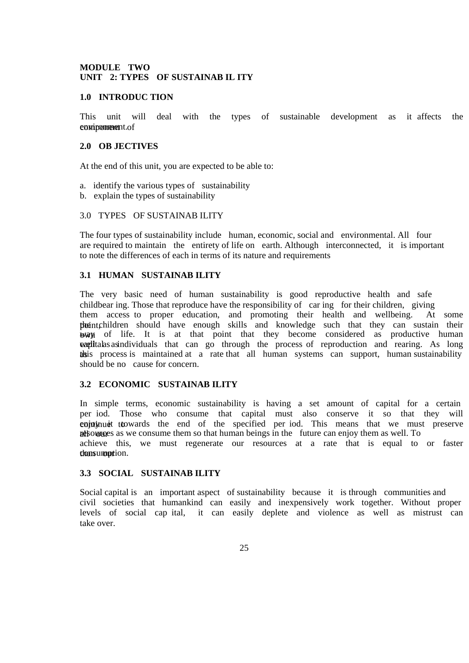## **MODULE TWO UNIT 2: TYPES OF SUSTAINAB IL ITY**

#### **1.0 INTRODUC TION**

This unit will deal with the types of sustainable development as it affects the enwironmenetnt.of

#### **2.0 OB JECTIVES**

At the end of this unit, you are expected to be able to:

- a. identify the various types of sustainability
- b. explain the types of sustainability

## 3.0 TYPES OF SUSTAINAB ILITY

The four types of sustainability include human, economic, social and environmental. All four are required to maintain the entirety of life on earth. Although interconnected, it is important to note the differences of each in terms of its nature and requirements

## **3.1 HUMAN SUSTAINAB ILITY**

The very basic need of human sustainability is good reproductive health and safe childbear ing. Those that reproduce have the responsibility of car ing for their children, giving them access to proper education, and promoting their health and wellbeing. At some the the children should have enough skills and knowledge such that they can sustain their way of life. It is at that point that they become considered as productive human watilitial as individuals that can go through the process of reproduction and rearing. As long the this process is maintained at a rate that all human systems can support, human sustainability should be no cause for concern.

## **3.2 ECONOMIC SUSTAINAB ILITY**

In simple terms, economic sustainability is having a set amount of capital for a certain per iod. Those who consume that capital must also conserve it so that they will continue ttowards the end of the specified per iod. This means that we must preserve respectively as we consume them so that human beings in the future can enjoy them as well. To achieve this, we must regenerate our resources at a rate that is equal to or faster than sumportion.

## **3.3 SOCIAL SUSTAINAB ILITY**

Social capital is an important aspect of sustainability because it is through communities and civil societies that humankind can easily and inexpensively work together. Without proper levels of social cap ital, it can easily deplete and violence as well as mistrust can take over.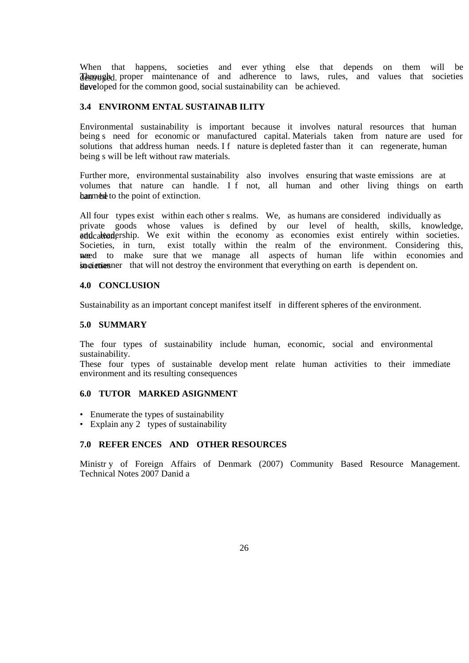When that happens, societies and ever ything else that depends on them will be **Through** all proper maintenance of and adherence to laws, rules, and values that societies **have loped for the common good, social sustainability can** be achieved.

## **3.4 ENVIRONM ENTAL SUSTAINAB ILITY**

Environmental sustainability is important because it involves natural resources that human being s need for economic or manufactured capital. Materials taken from nature are used for solutions that address human needs. If nature is depleted faster than it can regenerate, human being s will be left without raw materials.

Further more, environmental sustainability also involves ensuring that waste emissions are at volumes that nature can handle. I f not, all human and other living things on earth ban med to the point of extinction.

All four types exist within each other s realms. We, as humans are considered individually as private goods whose values is defined by our level of health, skills, knowledge, addcalcedership. We exit within the economy as economies exist entirely within societies. Societies, in turn, exist totally within the realm of the environment. Considering this, wered to make sure that we manage all aspects of human life within economies and spocieties in a manner that will not destroy the environment that everything on earth is dependent on.

### **4.0 CONCLUSION**

Sustainability as an important concept manifest itself in different spheres of the environment.

#### **5.0 SUMMARY**

The four types of sustainability include human, economic, social and environmental sustainability.

These four types of sustainable develop ment relate human activities to their immediate environment and its resulting consequences

#### **6.0 TUTOR MARKED ASIGNMENT**

- Enumerate the types of sustainability
- Explain any 2 types of sustainability

#### **7.0 REFER ENCES AND OTHER RESOURCES**

Ministr y of Foreign Affairs of Denmark (2007) Community Based Resource Management. Technical Notes 2007 Danid a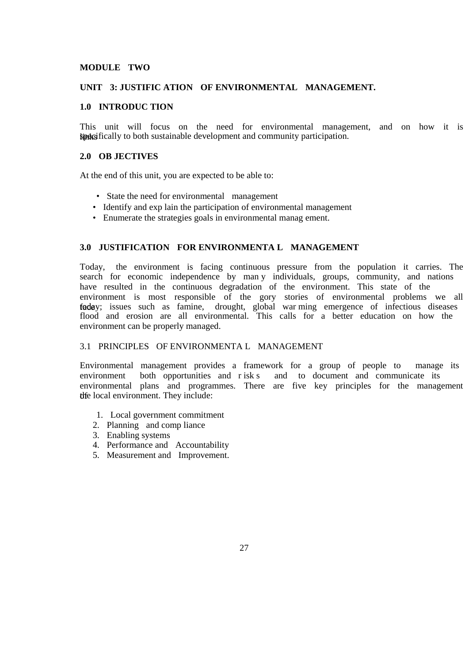## **MODULE TWO**

## **UNIT 3: JUSTIFIC ATION OF ENVIRONMENTAL MANAGEMENT.**

## **1.0 INTRODUC TION**

This unit will focus on the need for environmental management, and on how it is **Spacifically to both sustainable development and community participation.** 

## **2.0 OB JECTIVES**

At the end of this unit, you are expected to be able to:

- State the need for environmental management
- Identify and exp lain the participation of environmental management
- Enumerate the strategies goals in environmental manag ement.

## **3.0 JUSTIFICATION FOR ENVIRONMENTA L MANAGEMENT**

Today, the environment is facing continuous pressure from the population it carries. The search for economic independence by man y individuals, groups, community, and nations have resulted in the continuous degradation of the environment. This state of the environment is most responsible of the gory stories of environmental problems we all faday; issues such as famine, drought, global war ming emergence of infectious diseases flood and erosion are all environmental. This calls for a better education on how the environment can be properly managed.

## 3.1 PRINCIPLES OF ENVIRONMENTA L MANAGEMENT

Environmental management provides a framework for a group of people to manage its environment both opportunities and r isk s and to document and communicate its environmental plans and programmes. There are five key principles for the management the local environment. They include:

- 1. Local government commitment
- 2. Planning and comp liance
- 3. Enabling systems
- 4. Performance and Accountability
- 5. Measurement and Improvement.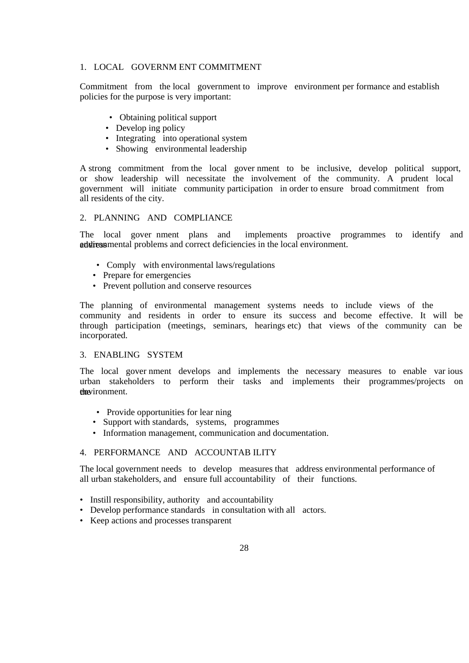## 1. LOCAL GOVERNM ENT COMMITMENT

Commitment from the local government to improve environment per formance and establish policies for the purpose is very important:

- Obtaining political support
- Develop ing policy
- Integrating into operational system
- Showing environmental leadership

A strong commitment from the local gover nment to be inclusive, develop political support, or show leadership will necessitate the involvement of the community. A prudent local government will initiate community participation in order to ensure broad commitment from all residents of the city.

## 2. PLANNING AND COMPLIANCE

 The local gover nment plans and implements proactive programmes to identify and addiressmental problems and correct deficiencies in the local environment.

- Comply with environmental laws/regulations
- Prepare for emergencies
- Prevent pollution and conserve resources

The planning of environmental management systems needs to include views of the community and residents in order to ensure its success and become effective. It will be through participation (meetings, seminars, hearings etc) that views of the community can be incorporated.

## 3. ENABLING SYSTEM

 The local gover nment develops and implements the necessary measures to enable var ious urban stakeholders to perform their tasks and implements their programmes/projects on the environment.

- Provide opportunities for lear ning
- Support with standards, systems, programmes
- Information management, communication and documentation.

## 4. PERFORMANCE AND ACCOUNTAB ILITY

 The local government needs to develop measures that address environmental performance of all urban stakeholders, and ensure full accountability of their functions.

- Instill responsibility, authority and accountability
- Develop performance standards in consultation with all actors.
- Keep actions and processes transparent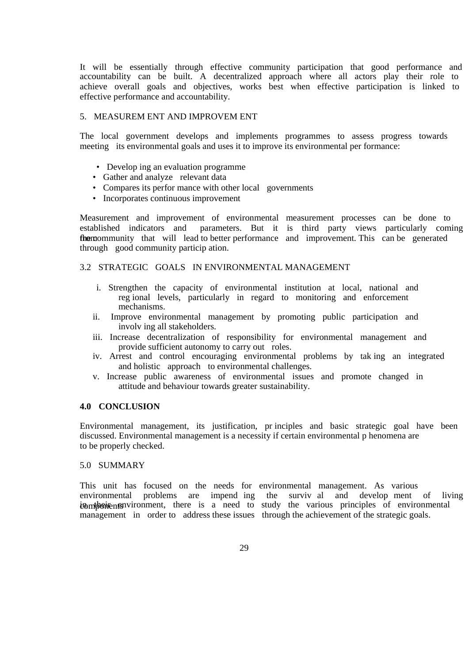It will be essentially through effective community participation that good performance and accountability can be built. A decentralized approach where all actors play their role to achieve overall goals and objectives, works best when effective participation is linked to effective performance and accountability.

#### 5. MEASUREM ENT AND IMPROVEM ENT

The local government develops and implements programmes to assess progress towards meeting its environmental goals and uses it to improve its environmental per formance:

- Develop ing an evaluation programme
- Gather and analyze relevant data
- Compares its perfor mance with other local governments
- Incorporates continuous improvement

Measurement and improvement of environmental measurement processes can be done to established indicators and parameters. But it is third party views particularly coming from the community that will lead to better performance and improvement. This can be generated through good community particip ation.

#### 3.2 STRATEGIC GOALS IN ENVIRONMENTAL MANAGEMENT

- i. Strengthen the capacity of environmental institution at local, national and reg ional levels, particularly in regard to monitoring and enforcement mechanisms.
- ii. Improve environmental management by promoting public participation and involv ing all stakeholders.
- iii. Increase decentralization of responsibility for environmental management and provide sufficient autonomy to carry out roles.
- iv. Arrest and control encouraging environmental problems by tak ing an integrated and holistic approach to environmental challenges.
- v. Increase public awareness of environmental issues and promote changed in attitude and behaviour towards greater sustainability.

#### **4.0 CONCLUSION**

Environmental management, its justification, pr inciples and basic strategic goal have been discussed. Environmental management is a necessity if certain environmental p henomena are to be properly checked.

#### 5.0 SUMMARY

This unit has focused on the needs for environmental management. As various environmental problems are impend ing the surviv al and develop ment of living ionthonents in the is a need to study the various principles of environmental management in order to address these issues through the achievement of the strategic goals.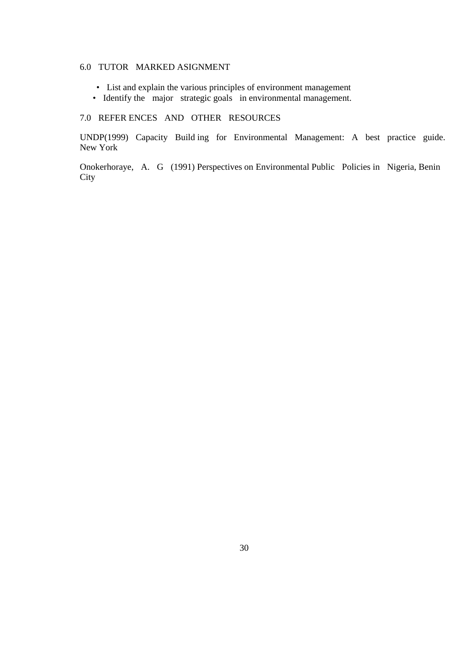## 6.0 TUTOR MARKED ASIGNMENT

- List and explain the various principles of environment management
- Identify the major strategic goals in environmental management.

## 7.0 REFER ENCES AND OTHER RESOURCES

UNDP(1999) Capacity Build ing for Environmental Management: A best practice guide. New York

Onokerhoraye, A. G (1991) Perspectives on Environmental Public Policies in Nigeria, Benin **City**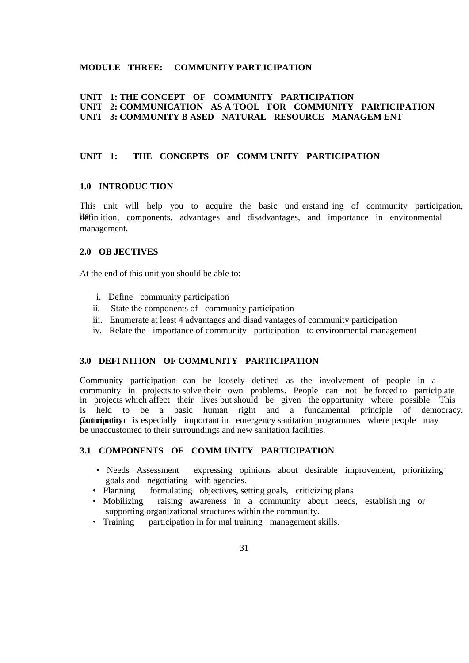## **MODULE THREE: COMMUNITY PART ICIPATION**

## **UNIT 1: THE CONCEPT OF COMMUNITY PARTICIPATION UNIT 2: COMMUNICATION AS A TOOL FOR COMMUNITY PARTICIPATION UNIT 3: COMMUNITY B ASED NATURAL RESOURCE MANAGEM ENT**

## **UNIT 1: THE CONCEPTS OF COMM UNITY PARTICIPATION**

## **1.0 INTRODUC TION**

This unit will help you to acquire the basic und erstand ing of community participation, ite fin ition, components, advantages and disadvantages, and importance in environmental management.

## **2.0 OB JECTIVES**

At the end of this unit you should be able to:

- i. Define community participation
- ii. State the components of community participation
- iii. Enumerate at least 4 advantages and disad vantages of community participation
- iv. Relate the importance of community participation to environmental management

## **3.0 DEFI NITION OF COMMUNITY PARTICIPATION**

Community participation can be loosely defined as the involvement of people in a community in projects to solve their own problems. People can not be forced to particip ate in projects which affect their lives but should be given the opportunity where possible. This is held to be a basic human right and a fundamental principle of democracy. **Conticipation** is especially important in emergency sanitation programmes where people may be unaccustomed to their surroundings and new sanitation facilities.

## **3.1 COMPONENTS OF COMM UNITY PARTICIPATION**

- Needs Assessment expressing opinions about desirable improvement, prioritizing goals and negotiating with agencies.
- Planning formulating objectives, setting goals, criticizing plans
- Mobilizing raising awareness in a community about needs, establish ing or supporting organizational structures within the community.
- Training participation in for mal training management skills.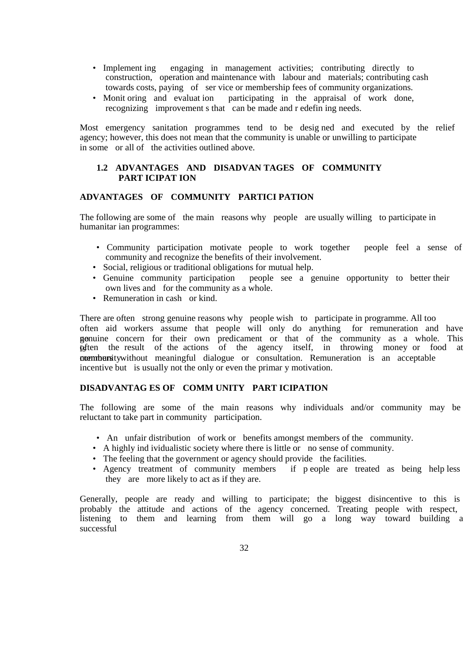- Implement ing engaging in management activities; contributing directly to construction, operation and maintenance with labour and materials; contributing cash towards costs, paying of ser vice or membership fees of community organizations.
- Monit oring and evaluat ion participating in the appraisal of work done, recognizing improvement s that can be made and r edefin ing needs.

Most emergency sanitation programmes tend to be desig ned and executed by the relief agency; however, this does not mean that the community is unable or unwilling to participate in some or all of the activities outlined above.

## **1.2 ADVANTAGES AND DISADVAN TAGES OF COMMUNITY PART ICIPAT ION**

### **ADVANTAGES OF COMMUNITY PARTICI PATION**

The following are some of the main reasons why people are usually willing to participate in humanitar ian programmes:

- Community participation motivate people to work together people feel a sense of community and recognize the benefits of their involvement.
- Social, religious or traditional obligations for mutual help.
- Genuine community participation people see a genuine opportunity to better their own lives and for the community as a whole.
- Remuneration in cash or kind.

There are often strong genuine reasons why people wish to participate in programme. All too often aid workers assume that people will only do anything for remuneration and have genuine concern for their own predicament or that of the community as a whole. This is often the result of the actions of the agency itself, in throwing money or food at **community** without meaningful dialogue or consultation. Remuneration is an acceptable incentive but is usually not the only or even the primar y motivation.

## **DISADVANTAG ES OF COMM UNITY PART ICIPATION**

The following are some of the main reasons why individuals and/or community may be reluctant to take part in community participation.

- An unfair distribution of work or benefits amongst members of the community.
- A highly ind ividualistic society where there is little or no sense of community.
- The feeling that the government or agency should provide the facilities.
- Agency treatment of community members if p eople are treated as being help less they are more likely to act as if they are.

Generally, people are ready and willing to participate; the biggest disincentive to this is probably the attitude and actions of the agency concerned. Treating people with respect, listening to them and learning from them will go a long way toward building a successful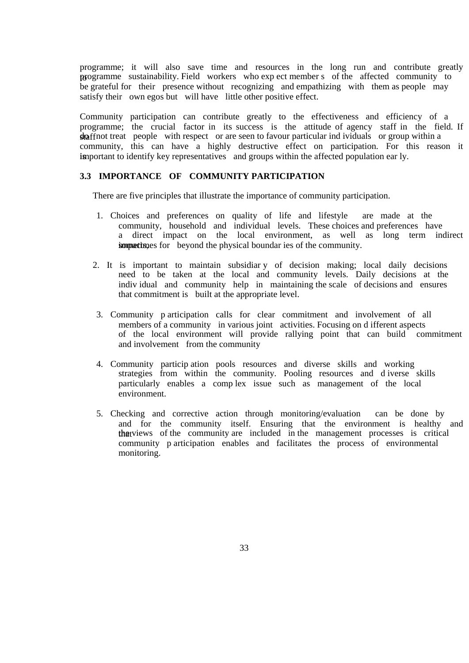programme; it will also save time and resources in the long run and contribute greatly to programme sustainability. Field workers who exp ect member s of the affected community to be grateful for their presence without recognizing and empathizing with them as people may satisfy their own egos but will have little other positive effect.

Community participation can contribute greatly to the effectiveness and efficiency of a programme; the crucial factor in its success is the attitude of agency staff in the field. If  $\frac{1}{2}$   $\frac{1}{2}$  such treat people with respect or are seen to favour particular ind ividuals or group within a community, this can have a highly destructive effect on participation. For this reason it is in portant to identify key representatives and groups within the affected population ear ly.

## **3.3 IMPORTANCE OF COMMUNITY PARTICIPATION**

There are five principles that illustrate the importance of community participation.

- 1. Choices and preferences on quality of life and lifestyle are made at the community, household and individual levels. These choices and preferences have a direct impact on the local environment, as well as long term indirect improvements for beyond the physical boundar ies of the community.
- 2. It is important to maintain subsidiar y of decision making; local daily decisions need to be taken at the local and community levels. Daily decisions at the indiv idual and community help in maintaining the scale of decisions and ensures that commitment is built at the appropriate level.
- 3. Community p articipation calls for clear commitment and involvement of all members of a community in various joint activities. Focusing on d ifferent aspects of the local environment will provide rallying point that can build commitment and involvement from the community
- 4. Community particip ation pools resources and diverse skills and working strategies from within the community. Pooling resources and d iverse skills particularly enables a comp lex issue such as management of the local environment.
- 5. Checking and corrective action through monitoring/evaluation can be done by and for the community itself. Ensuring that the environment is healthy and that views of the community are included in the management processes is critical community p articipation enables and facilitates the process of environmental monitoring.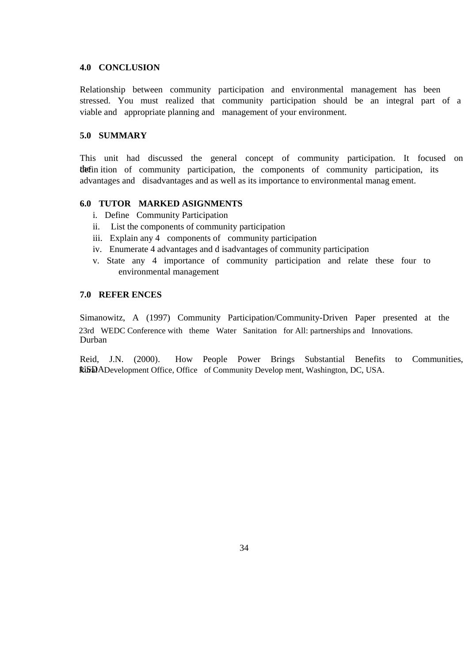#### **4.0 CONCLUSION**

Relationship between community participation and environmental management has been stressed. You must realized that community participation should be an integral part of a viable and appropriate planning and management of your environment.

## **5.0 SUMMARY**

This unit had discussed the general concept of community participation. It focused on the fin ition of community participation, the components of community participation, its advantages and disadvantages and as well as its importance to environmental manag ement.

## **6.0 TUTOR MARKED ASIGNMENTS**

- i. Define Community Participation
- ii. List the components of community participation
- iii. Explain any 4 components of community participation
- iv. Enumerate 4 advantages and d isadvantages of community participation
- v. State any 4 importance of community participation and relate these four to environmental management

## **7.0 REFER ENCES**

Simanowitz, A (1997) Community Participation/Community-Driven Paper presented at the 23rd WEDC Conference with theme Water Sanitation for All: partnerships and Innovations. Durban

Reid, J.N. (2000). How People Power Brings Substantial Benefits to Communities, RISDADevelopment Office, Office of Community Develop ment, Washington, DC, USA.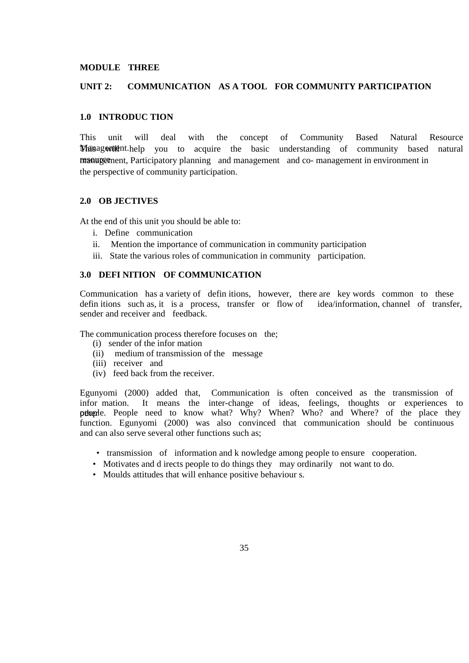#### **MODULE THREE**

#### **UNIT 2: COMMUNICATION AS A TOOL FOR COMMUNITY PARTICIPATION**

#### **1.0 INTRODUC TION**

This unit will deal with the concept of Community Based Natural Resource **Management.** The state when to acquire the basic understanding of community based natural resource ment, Participatory planning and management and co- management in environment in the perspective of community participation.

## **2.0 OB JECTIVES**

At the end of this unit you should be able to:

- i. Define communication
- ii. Mention the importance of communication in community participation
- iii. State the various roles of communication in community participation.

## **3.0 DEFI NITION OF COMMUNICATION**

Communication has a variety of definitions, however, there are key words common to these definitions such as, it is a process, transfer or flow of idea/information, channel of transfer, defin itions such as, it is a process, transfer or flow of sender and receiver and feedback.

The communication process therefore focuses on the;

- (i) sender of the infor mation
- (ii) medium of transmission of the message
- (iii) receiver and
- (iv) feed back from the receiver.

Egunyomi (2000) added that, Communication is often conceived as the transmission of infor mation. It means the inter-change of ideas, feelings, thoughts or experiences to pelopple. People need to know what? Why? When? Who? and Where? of the place they function. Egunyomi (2000) was also convinced that communication should be continuous and can also serve several other functions such as;

- transmission of information and k nowledge among people to ensure cooperation.
- Motivates and d irects people to do things they may ordinarily not want to do.
- Moulds attitudes that will enhance positive behaviour s.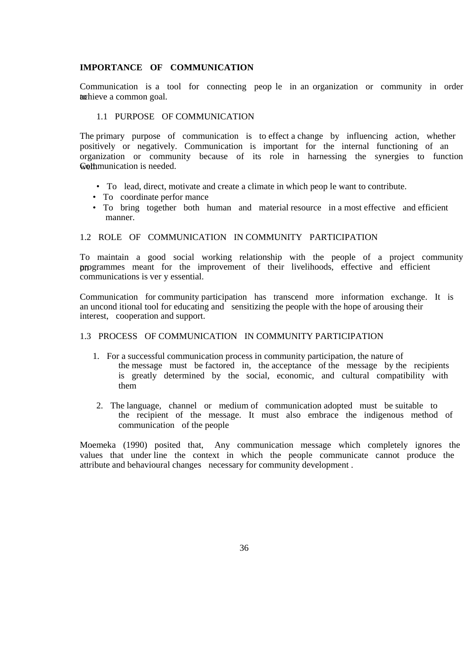## **IMPORTANCE OF COMMUNICATION**

Communication is a tool for connecting peop le in an organization or community in order to the ve a common goal.

#### 1.1 PURPOSE OF COMMUNICATION

The primary purpose of communication is to effect a change by influencing action, whether positively or negatively. Communication is important for the internal functioning of an organization or community because of its role in harnessing the synergies to function **Well**munication is needed.

- To lead, direct, motivate and create a climate in which peop le want to contribute.
- To coordinate perfor mance
- To bring together both human and material resource in a most effective and efficient manner.

#### 1.2 ROLE OF COMMUNICATION IN COMMUNITY PARTICIPATION

To maintain a good social working relationship with the people of a project community or programmes meant for the improvement of their livelihoods, effective and efficient communications is ver y essential.

Communication for community participation has transcend more information exchange. It is an uncond itional tool for educating and sensitizing the people with the hope of arousing their interest, cooperation and support.

### 1.3 PROCESS OF COMMUNICATION IN COMMUNITY PARTICIPATION

- 1. For a successful communication process in community participation, the nature of the message must be factored in, the acceptance of the message by the recipients is greatly determined by the social, economic, and cultural compatibility with them
- 2. The language, channel or medium of communication adopted must be suitable to the recipient of the message. It must also embrace the indigenous method of communication of the people

Moemeka (1990) posited that, Any communication message which completely ignores the values that under line the context in which the people communicate cannot produce the attribute and behavioural changes necessary for community development .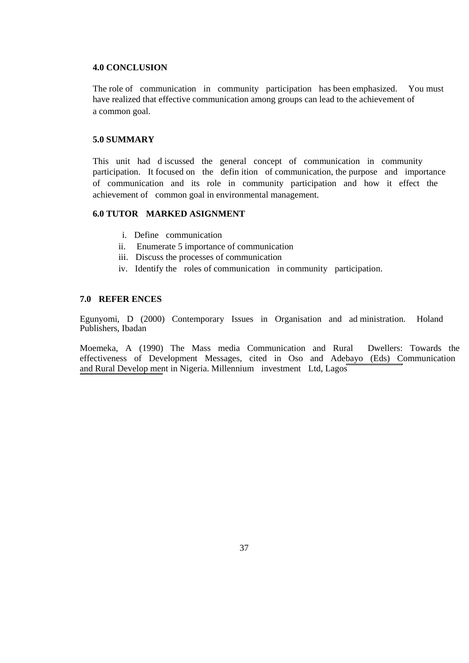#### **4.0 CONCLUSION**

The role of communication in community participation has been emphasized. You must have realized that effective communication among groups can lead to the achievement of a common goal.

## **5.0 SUMMARY**

This unit had d iscussed the general concept of communication in community participation. It focused on the defin ition of communication, the purpose and importance of communication and its role in community participation and how it effect the achievement of common goal in environmental management.

## **6.0 TUTOR MARKED ASIGNMENT**

- i. Define communication
- ii. Enumerate 5 importance of communication
- iii. Discuss the processes of communication
- iv. Identify the roles of communication in community participation.

## **7.0 REFER ENCES**

٦

Egunyomi, D (2000) Contemporary Issues in Organisation and ad ministration. Holand Publishers, Ibadan

Moemeka, A (1990) The Mass media Communication and Rural Dwellers: Towards the effectiveness of Development Messages, cited in Oso and Adebayo (Eds) Communication and Rural Develop ment in Nigeria. Millennium investment Ltd, Lagos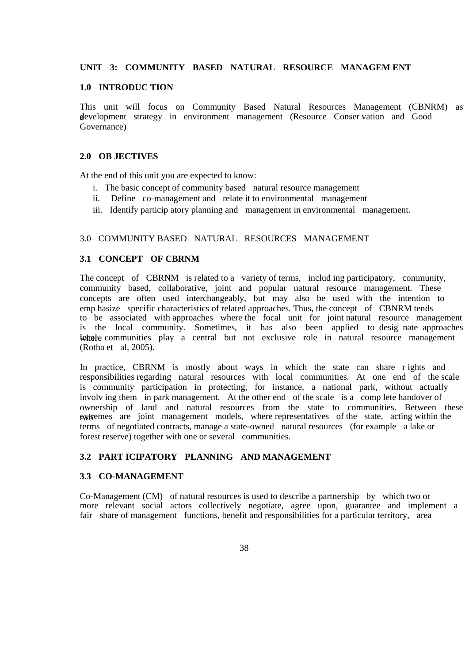## **UNIT 3: COMMUNITY BASED NATURAL RESOURCE MANAGEM ENT**

#### **1.0 INTRODUC TION**

This unit will focus on Community Based Natural Resources Management (CBNRM) as development strategy in environment management (Resource Conservation and Good Governance)

## **2.0 OB JECTIVES**

At the end of this unit you are expected to know:

- i. The basic concept of community based natural resource management
- ii. Define co-management and relate it to environmental management
- iii. Identify particip atory planning and management in environmental management.

## 3.0 COMMUNITY BASED NATURAL RESOURCES MANAGEMENT

## **3.1 CONCEPT OF CBRNM**

The concept of CBRNM is related to a variety of terms, includ ing participatory, community, community based, collaborative, joint and popular natural resource management. These concepts are often used interchangeably, but may also be used with the intention to emp hasize specific characteristics of related approaches. Thus, the concept of CBNRM tends to be associated with approaches where the focal unit for joint natural resource management is the local community. Sometimes, it has also been applied to desig nate approaches where communities play a central but not exclusive role in natural resource management (Rotha et al, 2005).

In practice, CBRNM is mostly about ways in which the state can share r ights and responsibilities regarding natural resources with local communities. At one end of the scale is community participation in protecting, for instance, a national park, without actually involv ing them in park management. At the other end of the scale is a comp lete handover of ownership of land and natural resources from the state to communities. Between these extremes are joint management models, where representatives of the state, acting within the terms of negotiated contracts, manage a state-owned natural resources (for example a lake or forest reserve) together with one or several communities.

## **3.2 PART ICIPATORY PLANNING AND MANAGEMENT**

#### **3.3 CO-MANAGEMENT**

Co-Management (CM) of natural resources is used to describe a partnership by which two or more relevant social actors collectively negotiate, agree upon, guarantee and implement a fair share of management functions, benefit and responsibilities for a particular territory, area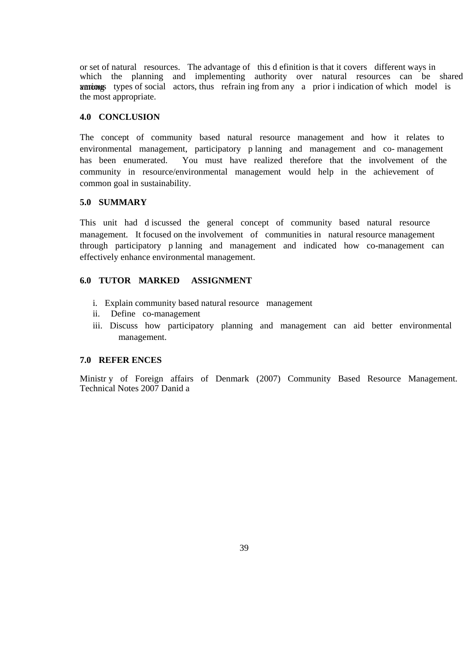or set of natural resources. The advantage of this d efinition is that it covers different ways in which the planning and implementing authority over natural resources can be shared among various types of social actors, thus refrain ing from any a prior i indication of which model is the most appropriate.

#### **4.0 CONCLUSION**

The concept of community based natural resource management and how it relates to environmental management, participatory p lanning and management and co- management has been enumerated. You must have realized therefore that the involvement of the community in resource/environmental management would help in the achievement of common goal in sustainability.

## **5.0 SUMMARY**

This unit had d iscussed the general concept of community based natural resource management. It focused on the involvement of communities in natural resource management through participatory p lanning and management and indicated how co-management can effectively enhance environmental management.

## **6.0 TUTOR MARKED ASSIGNMENT**

- i. Explain community based natural resource management
- ii. Define co-management
- iii. Discuss how participatory planning and management can aid better environmental management.

## **7.0 REFER ENCES**

Ministr y of Foreign affairs of Denmark (2007) Community Based Resource Management. Technical Notes 2007 Danid a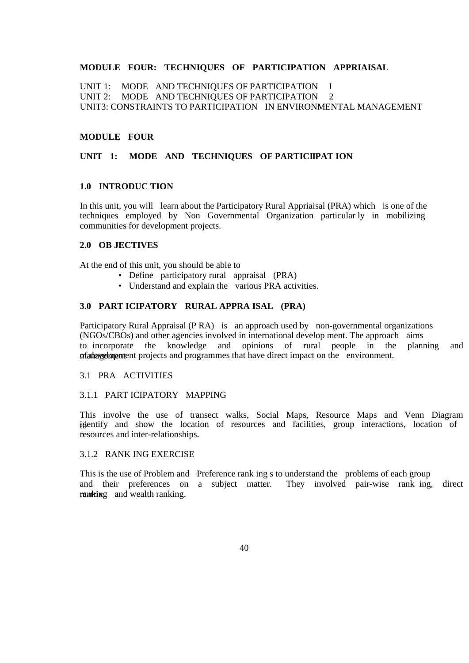## **MODULE FOUR: TECHNIQUES OF PARTICIPATION APPRIAISAL**

UNIT 1: MODE AND TECHNIQUES OF PARTICIPATION I UNIT 2: MODE AND TECHNIQUES OF PARTICIPATION 2 UNIT3: CONSTRAINTS TO PARTICIPATION IN ENVIRONMENTAL MANAGEMENT

## **MODULE FOUR**

## **UNIT 1: MODE AND TECHNIQUES OF PARTICIPATION**

## **1.0 INTRODUC TION**

In this unit, you will learn about the Participatory Rural Appriaisal (PRA) which is one of the techniques employed by Non Governmental Organization particular ly in mobilizing communities for development projects.

### **2.0 OB JECTIVES**

At the end of this unit, you should be able to

- Define participatory rural appraisal (PRA)
- Understand and explain the various PRA activities.

## **3.0 PART ICIPATORY RURAL APPRA ISAL (PRA)**

Participatory Rural Appraisal (P RA) is an approach used by non-governmental organizations (NGOs/CBOs) and other agencies involved in international develop ment. The approach aims to incorporate the knowledge and opinions of rural people in the planning and management projects and programmes that have direct impact on the environment.

#### 3.1 PRA ACTIVITIES

#### 3.1.1 PART ICIPATORY MAPPING

This involve the use of transect walks, Social Maps, Resource Maps and Venn Diagram identify and show the location of resources and facilities, group interactions, location of resources and inter-relationships.

## 3.1.2 RANK ING EXERCISE

This is the use of Problem and Preference rank ing s to understand the problems of each group and their preferences on a subject matter. They involved pair-wise rank ing, direct making and wealth ranking.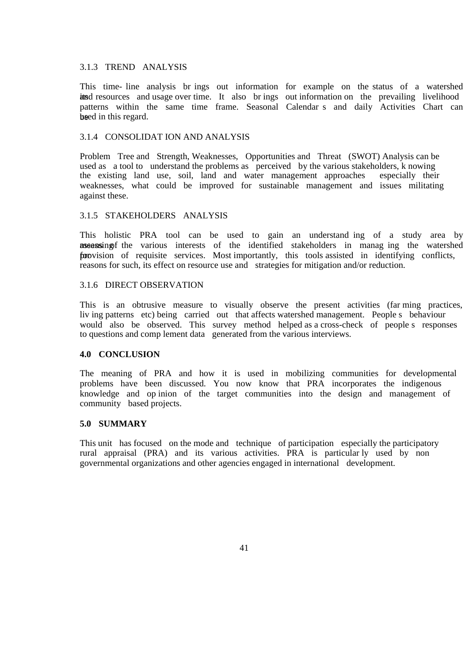#### 3.1.3 TREND ANALYSIS

This time- line analysis br ings out information for example on the status of a watershed its and usage over time. It also brings out information on the prevailing livelihood patterns within the same time frame. Seasonal Calendar s and daily Activities Chart can beed in this regard.

### 3.1.4 CONSOLIDAT ION AND ANALYSIS

Problem Tree and Strength, Weaknesses, Opportunities and Threat (SWOT) Analysis can be used as a tool to understand the problems as perceived by the various stakeholders, k nowing the existing land use, soil, land and water management approaches especially their weaknesses, what could be improved for sustainable management and issues militating against these.

## 3.1.5 STAKEHOLDERS ANALYSIS

This holistic PRA tool can be used to gain an understand ing of a study area by means ingled the various interests of the identified stakeholders in managing the watershed furovision of requisite services. Most importantly, this tools assisted in identifying conflicts, reasons for such, its effect on resource use and strategies for mitigation and/or reduction.

#### 3.1.6 DIRECT OBSERVATION

This is an obtrusive measure to visually observe the present activities (far ming practices, liv ing patterns etc) being carried out that affects watershed management. People s behaviour would also be observed. This survey method helped as a cross-check of people s responses to questions and comp lement data generated from the various interviews.

#### **4.0 CONCLUSION**

The meaning of PRA and how it is used in mobilizing communities for developmental problems have been discussed. You now know that PRA incorporates the indigenous knowledge and op inion of the target communities into the design and management of community based projects.

#### **5.0 SUMMARY**

This unit has focused on the mode and technique of participation especially the participatory rural appraisal (PRA) and its various activities. PRA is particular ly used by non governmental organizations and other agencies engaged in international development. I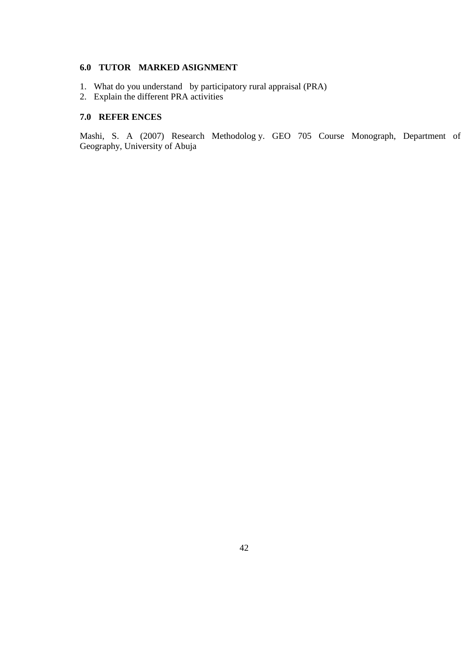## **6.0 TUTOR MARKED ASIGNMENT**

- 1. What do you understand by participatory rural appraisal (PRA)
- 2. Explain the different PRA activities

## **7.0 REFER ENCES**

Mashi, S. A (2007) Research Methodolog y. GEO 705 Course Monograph, Department of Geography, University of Abuja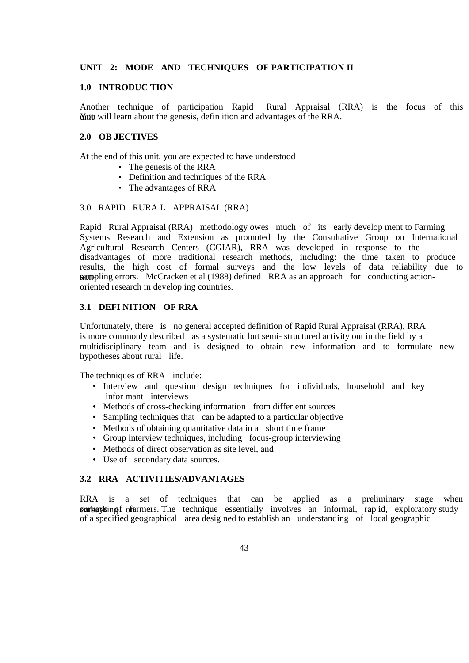## **UNIT 2: MODE AND TECHNIQUES OF PARTICIPATION II**

#### **1.0 INTRODUC TION**

Another technique of participation Rapid Rural Appraisal (RRA) is the focus of this Whit will learn about the genesis, defin ition and advantages of the RRA.

#### **2.0 OB JECTIVES**

At the end of this unit, you are expected to have understood

- The genesis of the RRA
- Definition and techniques of the RRA
- The advantages of RRA

#### 3.0 RAPID RURA L APPRAISAL (RRA)

Rapid Rural Appraisal (RRA) methodology owes much of its early develop ment to Farming Systems Research and Extension as promoted by the Consultative Group on International Agricultural Research Centers (CGIAR), RRA was developed in response to the disadvantages of more traditional research methods, including: the time taken to produce results, the high cost of formal surveys and the low levels of data reliability due to nompling errors. McCracken et al (1988) defined RRA as an approach for conducting actionoriented research in develop ing countries.

## **3.1 DEFI NITION OF RRA**

Unfortunately, there is no general accepted definition of Rapid Rural Appraisal (RRA), RRA is more commonly described as a systematic but semi- structured activity out in the field by a multidisciplinary team and is designed to obtain new information and to formulate new hypotheses about rural life.

The techniques of RRA include:

- Interview and question design techniques for individuals, household and key infor mant interviews
- Methods of cross-checking information from differ ent sources
- Sampling techniques that can be adapted to a particular objective
- Methods of obtaining quantitative data in a short time frame
- Group interview techniques, including focus-group interviewing
- Methods of direct observation as site level, and
- Use of secondary data sources.

## **3.2 RRA ACTIVITIES/ADVANTAGES**

RRA is a set of techniques that can be applied as a preliminary stage when embarking for of armers. The technique essentially involves an informal, rap id, exploratory study of a specified geographical area desig ned to establish an understanding of local geographic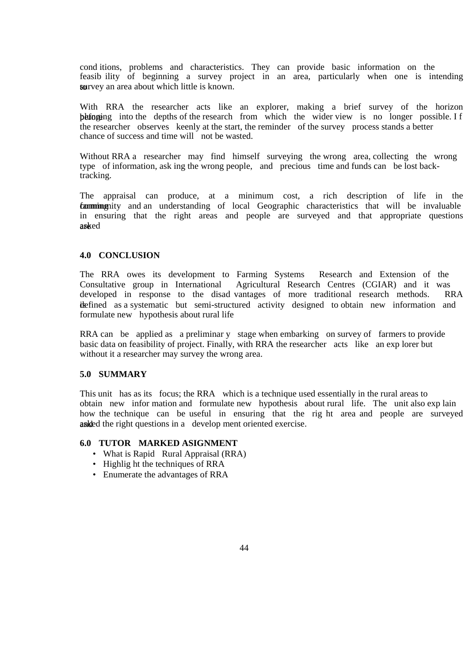cond itions, problems and characteristics. They can provide basic information on the feasib ility of beginning a survey project in an area, particularly when one is intending **survey** an area about which little is known.

With RRA the researcher acts like an explorer, making a brief survey of the horizon beforeing into the depths of the research from which the wider view is no longer possible. If the researcher observes keenly at the start, the reminder of the survey process stands a better chance of success and time will not be wasted.

Without RRA a researcher may find himself surveying the wrong area, collecting the wrong type of information, ask ing the wrong people, and precious time and funds can be lost backtracking.

The appraisal can produce, at a minimum cost, a rich description of life in the **farming** commit and an understanding of local Geographic characteristics that will be invaluable in ensuring that the right areas and people are surveyed and that appropriate questions asked

#### **4.0 CONCLUSION**

The RRA owes its development to Farming Systems Research and Extension of the Consultative group in International Agricultural Research Centres (CGIAR) and it was developed in response to the disad vantages of more traditional research methods. RRA defined as a systematic but semi-structured activity designed to obtain new information and formulate new hypothesis about rural life

RRA can be applied as a preliminar y stage when embarking on survey of farmers to provide basic data on feasibility of project. Finally, with RRA the researcher acts like an exp lorer but without it a researcher may survey the wrong area.

#### **5.0 SUMMARY**

This unit has as its focus; the RRA which is a technique used essentially in the rural areas to obtain new infor mation and formulate new hypothesis about rural life. The unit also exp lain how the technique can be useful in ensuring that the rig ht area and people are surveyed and a sked the right questions in a develop ment oriented exercise.

## **6.0 TUTOR MARKED ASIGNMENT**

- What is Rapid Rural Appraisal (RRA)
- Highlig ht the techniques of RRA
- Enumerate the advantages of RRA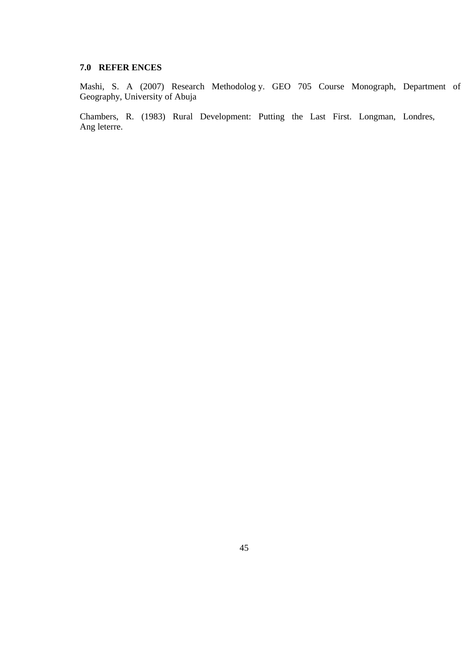## **7.0 REFER ENCES**

Mashi, S. A (2007) Research Methodolog y. GEO 705 Course Monograph, Department of Geography, University of Abuja

Chambers, R. (1983) Rural Development: Putting the Last First. Longman, Londres, Ang leterre.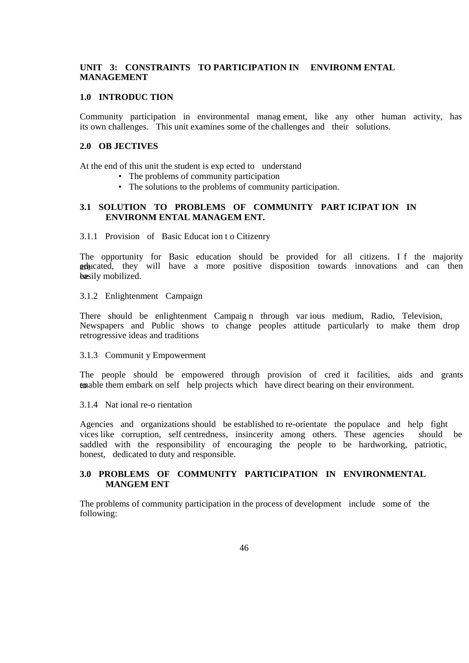## **UNIT 3: CONSTRAINTS TO PARTICIPATION IN ENVIRONM ENTAL MANAGEMENT**

#### **1.0 INTRODUC TION**

Community participation in environmental manag ement, like any other human activity, has its own challenges. This unit examines some of the challenges and their solutions.

#### **2.0 OB JECTIVES**

At the end of this unit the student is exp ected to understand

- The problems of community participation
- The solutions to the problems of community participation.

## **3.1 SOLUTION TO PROBLEMS OF COMMUNITY PART ICIPAT ION IN ENVIRONM ENTAL MANAGEM ENT.**

3.1.1 Provision of Basic Educat ion t o Citizenry

The opportunity for Basic education should be provided for all citizens. I f the majority are educated, they will have a more positive disposition towards innovations and can then basily mobilized.

3.1.2 Enlightenment Campaign

There should be enlightenment Campaig n through var ious medium, Radio, Television, Newspapers and Public shows to change peoples attitude particularly to make them drop retrogressive ideas and traditions

3.1.3 Communit y Empowerment

The people should be empowered through provision of cred it facilities, aids and grants to them embark on self help projects which have direct bearing on their environment.

#### 3.1.4 Nat ional re-o rientation

Agencies and organizations should be established to re-orientate the populace and help fight vices like corruption, self centredness, insincerity among others. These agencies should be saddled with the responsibility of encouraging the people to be hardworking, patriotic, honest, dedicated to duty and responsible.

## **3.0 PROBLEMS OF COMMUNITY PARTICIPATION IN ENVIRONMENTAL MANGEM ENT**

The problems of community participation in the process of development include some of the following: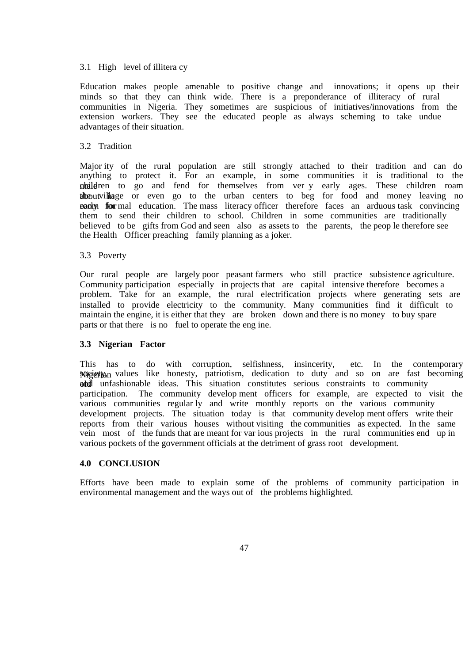#### 3.1 High level of illitera cy

Education makes people amenable to positive change and innovations; it opens up their minds so that they can think wide. There is a preponderance of illiteracy of rural communities in Nigeria. They sometimes are suspicious of initiatives/innovations from the extension workers. They see the educated people as always scheming to take undue advantages of their situation.

### 3.2 Tradition

Major ity of the rural population are still strongly attached to their tradition and can do anything to protect it. For an example, in some communities it is traditional to the children to go and fend for themselves from ver y early ages. These children roam theoutvillage or even go to the urban centers to beg for food and money leaving no **eachy** four mal education. The mass literacy officer therefore faces an arduous task convincing them to send their children to school. Children in some communities are traditionally believed to be gifts from God and seen also as assets to the parents, the peop le therefore see the Health Officer preaching family planning as a joker.

### 3.3 Poverty

Our rural people are largely poor peasant farmers who still practice subsistence agriculture. Community participation especially in projects that are capital intensive therefore becomes a problem. Take for an example, the rural electrification projects where generating sets are installed to provide electricity to the community. Many communities find it difficult to maintain the engine, it is either that they are broken down and there is no money to buy spare parts or that there is no fuel to operate the eng ine.

#### **3.3 Nigerian Factor**

This has to do with corruption, selfishness, insincerity, etc. In the contemporary Nigiety values like honesty, patriotism, dedication to duty and so on are fast becoming old unfashionable ideas. This situation constitutes serious constraints to community participation. The community develop ment officers for example, are expected to visit the various communities regular ly and write monthly reports on the various community development projects. The situation today is that community develop ment offers write their reports from their various houses without visiting the communities as expected. In the same vein most of the funds that are meant for var ious projects in the rural communities end up in various pockets of the government officials at the detriment of grass root development.

## **4.0 CONCLUSION**

Efforts have been made to explain some of the problems of community participation in environmental management and the ways out of the problems highlighted.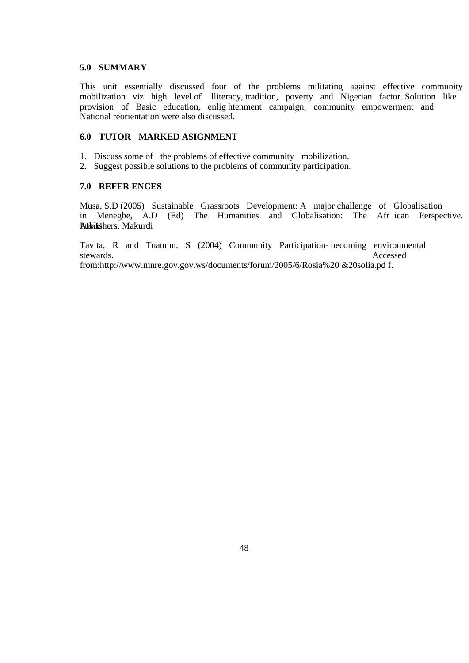### **5.0 SUMMARY**

This unit essentially discussed four of the problems militating against effective community mobilization viz high level of illiteracy, tradition, poverty and Nigerian factor. Solution like provision of Basic education, enlig htenment campaign, community empowerment and National reorientation were also discussed.

## **6.0 TUTOR MARKED ASIGNMENT**

- 1. Discuss some of the problems of effective community mobilization.
- 2. Suggest possible solutions to the problems of community participation.

## **7.0 REFER ENCES**

Musa, S.D (2005) Sustainable Grassroots Development: A major challenge of Globalisation in Menegbe, A.D (Ed) The Humanities and Globalisation: The Afr ican Perspective. Aboki Publishers, Makurdi

Tavita, R and Tuaumu, S (2004) Community Participation- becoming environmental stewards. Accessed

from:http://www.mnre.gov.gov.ws/documents/forum/2005/6/Rosia%20 &20solia.pd f.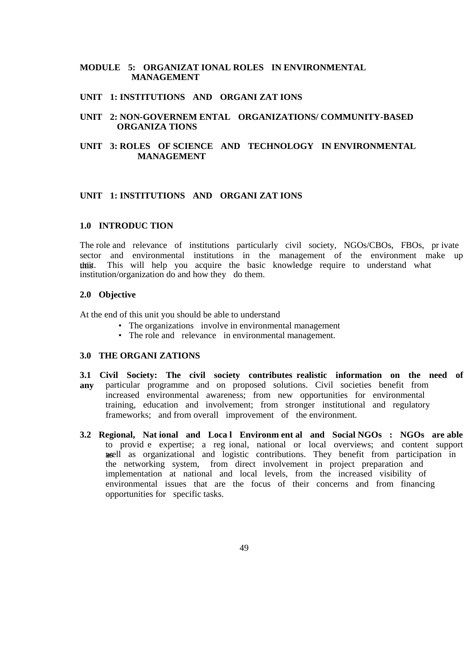## **MODULE 5: ORGANIZAT IONAL ROLES IN ENVIRONMENTAL MANAGEMENT**

## **UNIT 1: INSTITUTIONS AND ORGANI ZAT IONS**

## **UNIT 2: NON-GOVERNEM ENTAL ORGANIZATIONS/ COMMUNITY-BASED ORGANIZA TIONS**

## **UNIT 3: ROLES OF SCIENCE AND TECHNOLOGY IN ENVIRONMENTAL MANAGEMENT**

## **UNIT 1: INSTITUTIONS AND ORGANI ZAT IONS**

#### **1.0 INTRODUC TION**

The role and relevance of institutions particularly civil society, NGOs/CBOs, FBOs, pr ivate sector and environmental institutions in the management of the environment make up this This will help you acquire the basic knowledge require to understand what institution/organization do and how they do them.

#### **2.0 Objective**

At the end of this unit you should be able to understand

- The organizations involve in environmental management
- The role and relevance in environmental management.

## **3.0 THE ORGANI ZATIONS**

- **3.1 Civil Society: The civil society contributes realistic information on the need of any** particular programme and on proposed solutions. Civil societies benefit from increased environmental awareness; from new opportunities for environmental training, education and involvement; from stronger institutional and regulatory frameworks; and from overall improvement of the environment.
- **3.2 Regional, Nat ional and Loca l Environm ent al and Social NGOs : NGOs are able**  to provid e expertise; a reg ional, national or local overviews; and content support as well as organizational and logistic contributions. They benefit from participation in the networking system, from direct involvement in project preparation and implementation at national and local levels, from the increased visibility of environmental issues that are the focus of their concerns and from financing opportunities for specific tasks.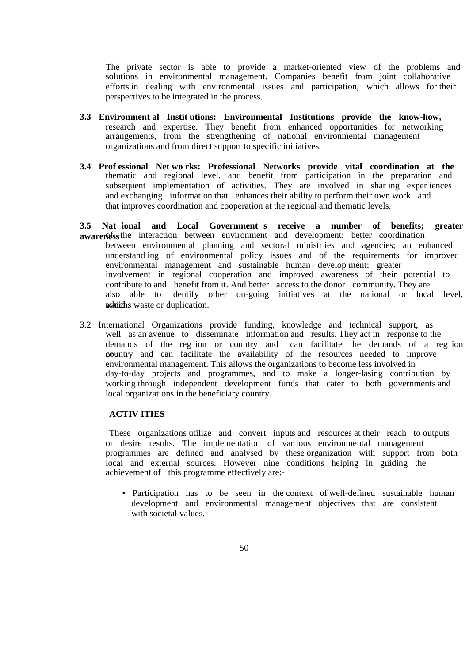The private sector is able to provide a market-oriented view of the problems and solutions in environmental management. Companies benefit from joint collaborative efforts in dealing with environmental issues and participation, which allows for their perspectives to be integrated in the process.

- **3.3 Environment al Instit utions: Environmental Institutions provide the know-how,**  research and expertise. They benefit from enhanced opportunities for networking arrangements, from the strengthening of national environmental management organizations and from direct support to specific initiatives.
- **3.4 Prof essional Net wo rks: Professional Networks provide vital coordination at the**  thematic and regional level, and benefit from participation in the preparation and subsequent implementation of activities. They are involved in sharting experiences and exchanging information that enhances their ability to perform their own work and that improves coordination and cooperation at the regional and thematic levels.
- **3.5 Nat ional and Local Government s receive a number of benefits; greater**  awareness the interaction between environment and development; better coordination between environmental planning and sectoral ministr ies and agencies; an enhanced understand ing of environmental policy issues and of the requirements for improved environmental management and sustainable human develop ment; greater involvement in regional cooperation and improved awareness of their potential to contribute to and benefit from it. And better access to the donor community. They are also able to identify other on-going initiatives at the national or local level, which s waste or duplication.
- 3.2 International Organizations provide funding, knowledge and technical support, as well as an avenue to disseminate information and results. They act in response to the demands of the reg ion or country and can facilitate the demands of a reg ion opuntry and can facilitate the availability of the resources needed to improve environmental management. This allows the organizations to become less involved in day-to-day projects and programmes, and to make a longer-lasing contribution by working through independent development funds that cater to both governments and local organizations in the beneficiary country.

## **ACTIV ITIES**

 These organizations utilize and convert inputs and resources at their reach to outputs or desire results. The implementation of var ious environmental management programmes are defined and analysed by these organization with support from both local and external sources. However nine conditions helping in guiding the achievement of this programme effectively are:-

 • Participation has to be seen in the context of well-defined sustainable human development and environmental management objectives that are consistent with societal values.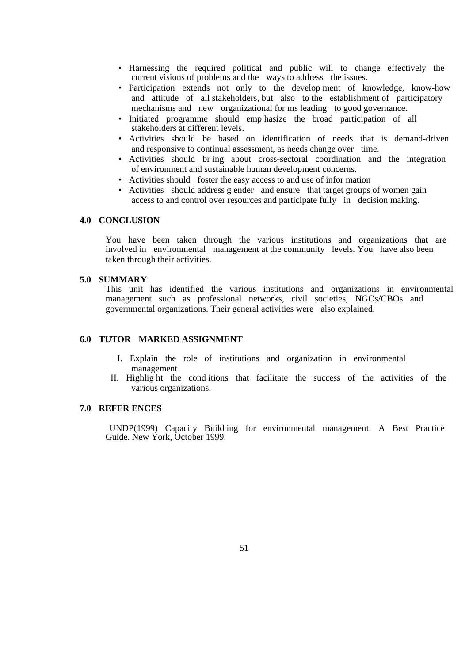- Harnessing the required political and public will to change effectively the current visions of problems and the ways to address the issues.
- Participation extends not only to the develop ment of knowledge, know-how and attitude of all stakeholders, but also to the establishment of participatory mechanisms and new organizational for ms leading to good governance.
- Initiated programme should emp hasize the broad participation of all stakeholders at different levels.
- Activities should be based on identification of needs that is demand-driven and responsive to continual assessment, as needs change over time.
- Activities should br ing about cross-sectoral coordination and the integration of environment and sustainable human development concerns.
- Activities should foster the easy access to and use of infor mation
- Activities should address g ender and ensure that target groups of women gain access to and control over resources and participate fully in decision making.

## **4.0 CONCLUSION**

You have been taken through the various institutions and organizations that are involved in environmental management at the community levels. You have also been taken through their activities.

## **5.0 SUMMARY**

This unit has identified the various institutions and organizations in environmental management such as professional networks, civil societies, NGOs/CBOs and governmental organizations. Their general activities were also explained.

#### **6.0 TUTOR MARKED ASSIGNMENT**

- I. Explain the role of institutions and organization in environmental management
- II. Highlig ht the cond itions that facilitate the success of the activities of the various organizations.

#### **7.0 REFER ENCES**

 UNDP(1999) Capacity Build ing for environmental management: A Best Practice Guide. New York, October 1999.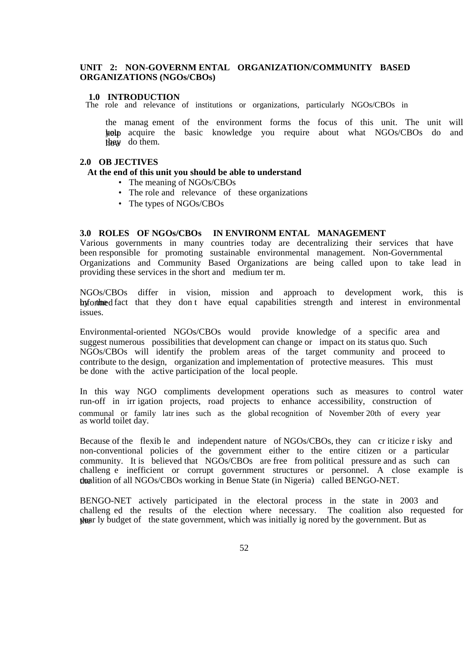## **UNIT 2: NON-GOVERNM ENTAL ORGANIZATION/COMMUNITY BASED ORGANIZATIONS (NGOs/CBOs)**

#### **1.0 INTRODUCTION**

The role and relevance of institutions or organizations, particularly NGOs/CBOs in

the manag ement of the environment forms the focus of this unit. The unit will help acquire the basic knowledge you require about what NGOs/CBOs do and  $th$ ay do them.

## **2.0 OB JECTIVES**

#### **At the end of this unit you should be able to understand**

- The meaning of NGOs/CBOs
- The role and relevance of these organizations
- The types of NGOs/CBOs

#### **3.0 ROLES OF NGOs/CBOs IN ENVIRONM ENTAL MANAGEMENT**

Various governments in many countries today are decentralizing their services that have been responsible for promoting sustainable environmental management. Non-Governmental Organizations and Community Based Organizations are being called upon to take lead in providing these services in the short and medium ter m.

NGOs/CBOs differ in vision, mission and approach to development work, this is informed by the fact that they don t have equal capabilities strength and interest in environmental issues.

Environmental-oriented NGOs/CBOs would provide knowledge of a specific area and suggest numerous possibilities that development can change or impact on its status quo. Such NGOs/CBOs will identify the problem areas of the target community and proceed to contribute to the design, organization and implementation of protective measures. This must be done with the active participation of the local people.

In this way NGO compliments development operations such as measures to control water run-off in irr igation projects, road projects to enhance accessibility, construction of communal or family latr ines such as the global recognition of November 20th of every year as world toilet day.

Because of the flexib le and independent nature of NGOs/CBOs, they can cr iticize r isky and non-conventional policies of the government either to the entire citizen or a particular community. It is believed that NGOs/CBOs are free from political pressure and as such can challeng e inefficient or corrupt government structures or personnel. A close example is the coalition of all NGOs/CBOs working in Benue State (in Nigeria) called BENGO-NET.

BENGO-NET actively participated in the electoral process in the state in 2003 and challeng ed the results of the election where necessary. The coalition also requested for the year ly budget of the state government, which was initially ig nored by the government. But as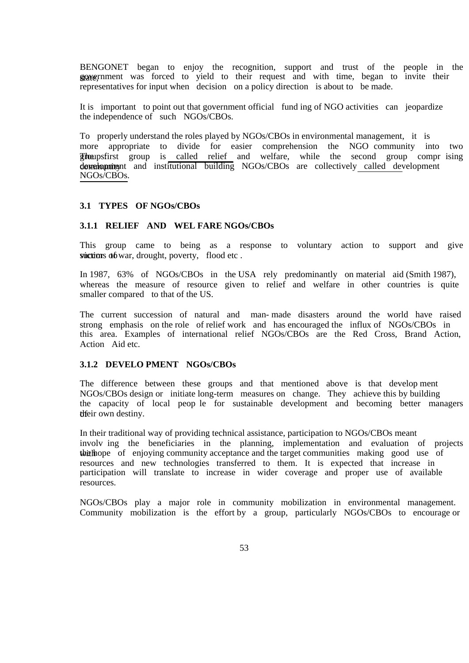BENGONET began to enjoy the recognition, support and trust of the people in the grave rnment was forced to yield to their request and with time, began to invite their representatives for input when decision on a policy direction is about to be made.

It is important to point out that government official fund ing of NGO activities can jeopardize the independence of such NGOs/CBOs.

To properly understand the roles played by NGOs/CBOs in environmental management, it is more appropriate to divide for easier comprehension the NGO community into two **The second group** is called relief and welfare, while the second group compr ising development and institutional building NGOs/CBOs are collectively called development NGOs/CBOs.

#### **3.1 TYPES OF NGOs/CBOs**

٦

## **3.1.1 RELIEF AND WEL FARE NGOs/CBOs**

This group came to being as a response to voluntary action to support and give  $s$ uctions  $\alpha$ 6 war, drought, poverty, flood etc.

In 1987, 63% of NGOs/CBOs in the USA rely predominantly on material aid (Smith 1987), whereas the measure of resource given to relief and welfare in other countries is quite smaller compared to that of the US.

The current succession of natural and man- made disasters around the world have raised strong emphasis on the role of relief work and has encouraged the influx of NGOs/CBOs in this area. Examples of international relief NGOs/CBOs are the Red Cross, Brand Action, Action Aid etc.

## **3.1.2 DEVELO PMENT NGOs/CBOs**

The difference between these groups and that mentioned above is that develop ment NGOs/CBOs design or initiate long-term measures on change. They achieve this by building the capacity of local peop le for sustainable development and becoming better managers their own destiny.

In their traditional way of providing technical assistance, participation to NGOs/CBOs meant involv ing the beneficiaries in the planning, implementation and evaluation of projects the the hope of enjoying community acceptance and the target communities making good use of resources and new technologies transferred to them. It is expected that increase in participation will translate to increase in wider coverage and proper use of available resources.

NGOs/CBOs play a major role in community mobilization in environmental management. Community mobilization is the effort by a group, particularly NGOs/CBOs to encourage or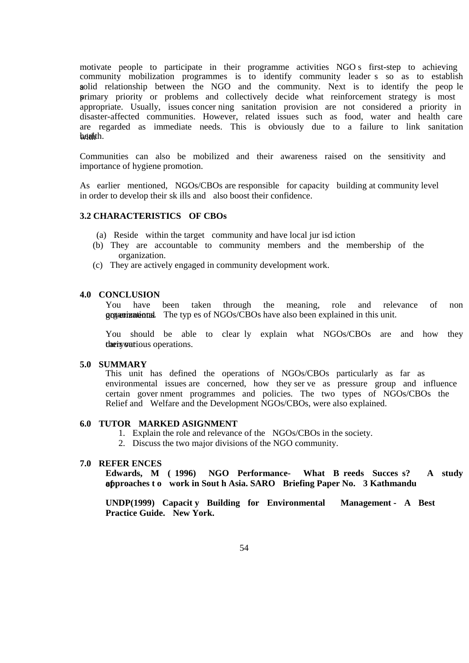motivate people to participate in their programme activities NGO s first-step to achieving community mobilization programmes is to identify community leader s so as to establish aolid relationship between the NGO and the community. Next is to identify the peop le primary priority or problems and collectively decide what reinforcement strategy is most appropriate. Usually, issues concer ning sanitation provision are not considered a priority in disaster-affected communities. However, related issues such as food, water and health care are regarded as immediate needs. This is obviously due to a failure to link sanitation heighth.

Communities can also be mobilized and their awareness raised on the sensitivity and importance of hygiene promotion.

As earlier mentioned, NGOs/CBOs are responsible for capacity building at community level in order to develop their sk ills and also boost their confidence.

## **3.2 CHARACTERISTICS OF CBOs**

- (a) Reside within the target community and have local jur isd iction
- (b) They are accountable to community members and the membership of the organization.
- (c) They are actively engaged in community development work.

#### **4.0 CONCLUSION**

You have been taken through the meaning, role and relevance of non government organizations. The typ es of NGOs/CBOs have also been explained in this unit.

You should be able to clear ly explain what NGOs/CBOs are and how they their various operations.

#### **5.0 SUMMARY**

This unit has defined the operations of NGOs/CBOs particularly as far as environmental issues are concerned, how they ser ve as pressure group and influence certain gover nment programmes and policies. The two types of NGOs/CBOs the Relief and Welfare and the Development NGOs/CBOs, were also explained.

#### **6.0 TUTOR MARKED ASIGNMENT**

- 1. Explain the role and relevance of the NGOs/CBOs in the society.
- 2. Discuss the two major divisions of the NGO community.

#### **7.0 REFER ENCES**

**Edwards, M ( 1996) NGO Performance- What B reeds Succes s? A study of approaches t o work in Sout h Asia. SARO Briefing Paper No. 3 Kathmandu** 

**UNDP(1999) Capacit y Building for Environmental Management - A Best Practice Guide. New York.**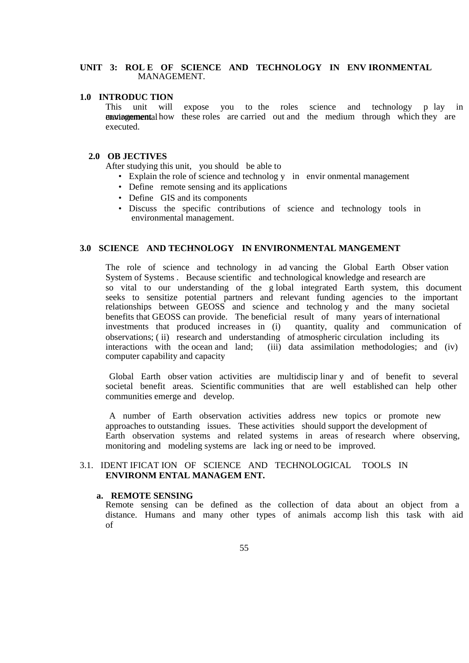#### **UNIT 3: ROL E OF SCIENCE AND TECHNOLOGY IN ENV IRONMENTAL**  MANAGEMENT.

## **1.0 INTRODUC TION**

This unit will expose you to the roles science and technology p lay in **environmental how** these roles are carried out and the medium through which they are executed.

#### **2.0 OB JECTIVES**

After studying this unit, you should be able to

- Explain the role of science and technolog y in envir onmental management
- Define remote sensing and its applications
- Define GIS and its components
- Discuss the specific contributions of science and technology tools in environmental management.

## **3.0 SCIENCE AND TECHNOLOGY IN ENVIRONMENTAL MANGEMENT**

The role of science and technology in ad vancing the Global Earth Obser vation System of Systems . Because scientific and technological knowledge and research are so vital to our understanding of the g lobal integrated Earth system, this document seeks to sensitize potential partners and relevant funding agencies to the important relationships between GEOSS and science and technolog y and the many societal benefits that GEOSS can provide. The beneficial result of many years of international investments that produced increases in (i) quantity, quality and communication of observations; ( ii) research and understanding of atmospheric circulation including its interactions with the ocean and land; (iii) data assimilation methodologies; and (iv) computer capability and capacity

 Global Earth obser vation activities are multidiscip linar y and of benefit to several societal benefit areas. Scientific communities that are well established can help other communities emerge and develop.

 A number of Earth observation activities address new topics or promote new approaches to outstanding issues. These activities should support the development of Earth observation systems and related systems in areas of research where observing, monitoring and modeling systems are lack ing or need to be improved.

## 3.1. IDENT IFICAT ION OF SCIENCE AND TECHNOLOGICAL TOOLS IN **ENVIRONM ENTAL MANAGEM ENT.**

## **a. REMOTE SENSING**

Remote sensing can be defined as the collection of data about an object from a distance. Humans and many other types of animals accomp lish this task with aid of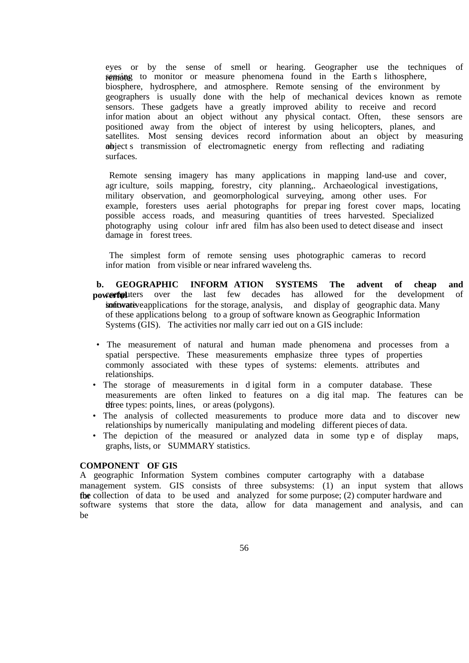eyes or by the sense of smell or hearing. Geographer use the techniques of remaine to monitor or measure phenomena found in the Earth s lithosphere, biosphere, hydrosphere, and atmosphere. Remote sensing of the environment by geographers is usually done with the help of mechanical devices known as remote sensors. These gadgets have a greatly improved ability to receive and record infor mation about an object without any physical contact. Often, these sensors are positioned away from the object of interest by using helicopters, planes, and satellites. Most sensing devices record information about an object by measuring abject s transmission of electromagnetic energy from reflecting and radiating surfaces.

 Remote sensing imagery has many applications in mapping land-use and cover, agr iculture, soils mapping, forestry, city planning,. Archaeological investigations, military observation, and geomorphological surveying, among other uses. For example, foresters uses aerial photographs for prepar ing forest cover maps, locating possible access roads, and measuring quantities of trees harvested. Specialized photography using colour infr ared film has also been used to detect disease and insect damage in forest trees.

 The simplest form of remote sensing uses photographic cameras to record infor mation from visible or near infrared waveleng ths.

**b. GEOGRAPHIC INFORM ATION SYSTEMS The advent of cheap and powerful** uters over the last few decades has allowed for the development of in interestigations for the storage, analysis, and display of geographic data. Many of these applications belong to a group of software known as Geographic Information Systems (GIS). The activities nor mally carr ied out on a GIS include:

- The measurement of natural and human made phenomena and processes from a spatial perspective. These measurements emphasize three types of properties commonly associated with these types of systems: elements. attributes and relationships.
- The storage of measurements in d igital form in a computer database. These measurements are often linked to features on a dig ital map. The features can be the types: points, lines, or areas (polygons).
- The analysis of collected measurements to produce more data and to discover new relationships by numerically manipulating and modeling different pieces of data.
- The depiction of the measured or analyzed data in some type of display maps, graphs, lists, or SUMMARY statistics.

## **COMPONENT OF GIS**

A geographic Information System combines computer cartography with a database management system. GIS consists of three subsystems: (1) an input system that allows for collection of data to be used and analyzed for some purpose; (2) computer hardware and software systems that store the data, allow for data management and analysis, and can be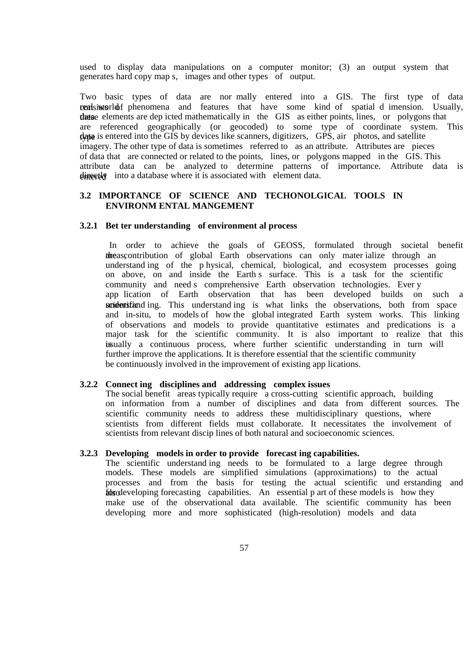used to display data manipulations on a computer monitor; (3) an output system that generates hard copy map s, images and other types of output.

Two basic types of data are nor mally entered into a GIS. The first type of data consist of the phenomena and features that have some kind of spatial dimension. Usually, these elements are dep icted mathematically in the GIS as either points, lines, or polygons that are referenced geographically (or geocoded) to some type of coordinate system. This that is entered into the GIS by devices like scanners, digitizers, GPS, air photos, and satellite imagery. The other type of data is sometimes referred to as an attribute. Attributes are pieces of data that are connected or related to the points, lines, or polygons mapped in the GIS. This attribute data can be analyzed to determine patterns of importance. Attribute data is  $\theta$ intextled into a database where it is associated with element data.

## **3.2 IMPORTANCE OF SCIENCE AND TECHONOLGICAL TOOLS IN ENVIRONM ENTAL MANGEMENT**

#### **3.2.1 Bet ter understanding of environment al process**

In order to achieve the goals of GEOSS, formulated through societal benefit threas contribution of global Earth observations can only mater ialize through an understand ing of the p hysical, chemical, biological, and ecosystem processes going on above, on and inside the Earth s surface. This is a task for the scientific community and need s comprehensive Earth observation technologies. Ever y app lication of Earth observation that has been developed builds on such a scried entified ing. This understand ing is what links the observations, both from space and in-situ, to models of how the global integrated Earth system works. This linking of observations and models to provide quantitative estimates and predications is a major task for the scientific community. It is also important to realize that this is usually a continuous process, where further scientific understanding in turn will further improve the applications. It is therefore essential that the scientific community be continuously involved in the improvement of existing app lications.

#### **3.2.2 Connect ing disciplines and addressing complex issues**

The social benefit areas typically require a cross-cutting scientific approach, building on information from a number of disciplines and data from different sources. The scientific community needs to address these multidisciplinary questions, where scientists from different fields must collaborate. It necessitates the involvement of scientists from relevant discip lines of both natural and socioeconomic sciences.

#### **3.2.3 Developing models in order to provide forecast ing capabilities.**

The scientific understand ing needs to be formulated to a large degree through models. These models are simplified simulations (approximations) to the actual processes and from the basis for testing the actual scientific und erstanding and for also forecasting capabilities. An essential p art of these models is how they make use of the observational data available. The scientific community has been developing more and more sophisticated (high-resolution) models and data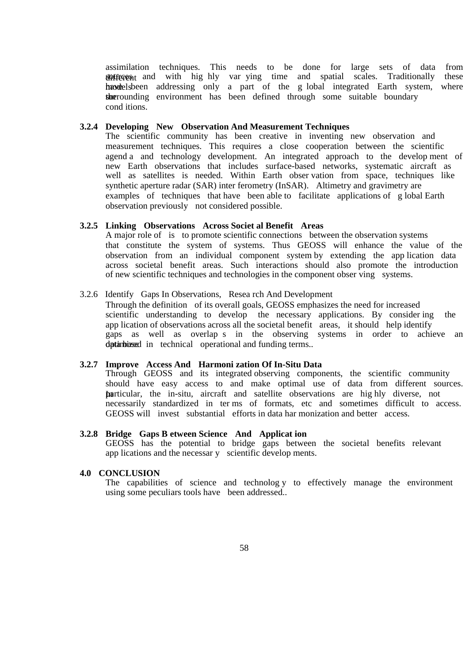assimilation techniques. This needs to be done for large sets of data from different and with hig hly var ying time and spatial scales. Traditionally these have been addressing only a part of the g lobal integrated Earth system, where the surrounding environment has been defined through some suitable boundary cond itions.

## **3.2.4 Developing New Observation And Measurement Techniques**

The scientific community has been creative in inventing new observation and measurement techniques. This requires a close cooperation between the scientific agend a and technology development. An integrated approach to the develop ment of new Earth observations that includes surface-based networks, systematic aircraft as well as satellites is needed. Within Earth obser vation from space, techniques like synthetic aperture radar (SAR) inter ferometry (InSAR). Altimetry and gravimetry are examples of techniques that have been able to facilitate applications of g lobal Earth observation previously not considered possible.

## **3.2.5 Linking Observations Across Societ al Benefit Areas**

A major role of is to promote scientific connections between the observation systems that constitute the system of systems. Thus GEOSS will enhance the value of the observation from an individual component system by extending the app lication data across societal benefit areas. Such interactions should also promote the introduction of new scientific techniques and technologies in the component obser ving systems.

#### 3.2.6 Identify Gaps In Observations, Resea rch And Development

Through the definition of its overall goals, GEOSS emphasizes the need for increased scientific understanding to develop the necessary applications. By consider ing the app lication of observations across all the societal benefit areas, it should help identify gaps as well as overlap s in the observing systems in order to achieve an dptimized in technical operational and funding terms..

#### **3.2.7 Improve Access And Harmoni zation Of In-Situ Data**

Through GEOSS and its integrated observing components, the scientific community should have easy access to and make optimal use of data from different sources. In particular, the in-situ, aircraft and satellite observations are hig hly diverse, not necessarily standardized in ter ms of formats, etc and sometimes difficult to access. GEOSS will invest substantial efforts in data har monization and better access.

## **3.2.8 Bridge Gaps B etween Science And Applicat ion**

GEOSS has the potential to bridge gaps between the societal benefits relevant app lications and the necessar y scientific develop ments.

#### **4.0 CONCLUSION**

The capabilities of science and technolog y to effectively manage the environment using some peculiars tools have been addressed..